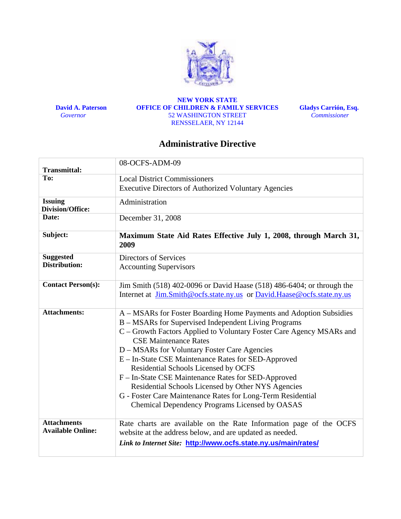

 **David A. Paterson**   *Governor* 

#### **NEW YORK STATE OFFICE OF CHILDREN & FAMILY SERVICES**  52 WASHINGTON STREET RENSSELAER, NY 12144

**Gladys Carrión, Esq.**   *Commissioner* 

# **Administrative Directive**

| 08-OCFS-ADM-09                                                                                       |
|------------------------------------------------------------------------------------------------------|
| <b>Local District Commissioners</b>                                                                  |
| <b>Executive Directors of Authorized Voluntary Agencies</b>                                          |
| Administration                                                                                       |
| December 31, 2008                                                                                    |
| Maximum State Aid Rates Effective July 1, 2008, through March 31,<br>2009                            |
| <b>Directors of Services</b>                                                                         |
| <b>Accounting Supervisors</b>                                                                        |
| Jim Smith (518) 402-0096 or David Haase (518) 486-6404; or through the                               |
| Internet at Jim.Smith@ocfs.state.ny.us or David.Haase@ocfs.state.ny.us                               |
| A – MSARs for Foster Boarding Home Payments and Adoption Subsidies                                   |
| B – MSARs for Supervised Independent Living Programs                                                 |
| C – Growth Factors Applied to Voluntary Foster Care Agency MSARs and<br><b>CSE Maintenance Rates</b> |
| D - MSARs for Voluntary Foster Care Agencies                                                         |
| E - In-State CSE Maintenance Rates for SED-Approved                                                  |
| Residential Schools Licensed by OCFS                                                                 |
| F - In-State CSE Maintenance Rates for SED-Approved                                                  |
| Residential Schools Licensed by Other NYS Agencies                                                   |
| G - Foster Care Maintenance Rates for Long-Term Residential                                          |
| Chemical Dependency Programs Licensed by OASAS                                                       |
| Rate charts are available on the Rate Information page of the OCFS                                   |
| website at the address below, and are updated as needed.                                             |
| Link to Internet Site: http://www.ocfs.state.ny.us/main/rates/                                       |
|                                                                                                      |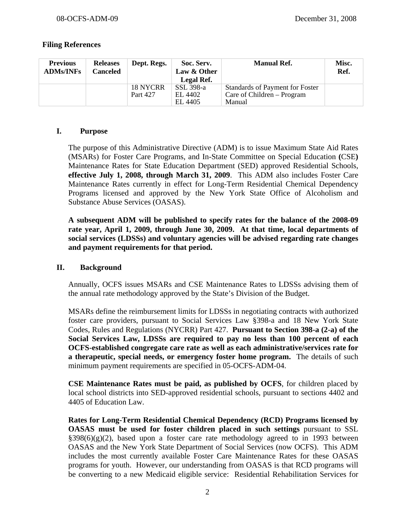### **Filing References**

| <b>Previous</b><br><b>ADMs/INFs</b> | <b>Releases</b><br><b>Canceled</b> | Dept. Regs.          | Soc. Serv.<br>Law & Other<br><b>Legal Ref.</b> | <b>Manual Ref.</b>                                                      | Misc.<br>Ref. |
|-------------------------------------|------------------------------------|----------------------|------------------------------------------------|-------------------------------------------------------------------------|---------------|
|                                     |                                    | 18 NYCRR<br>Part 427 | SSL 398-a<br>EL 4402<br>EL 4405                | Standards of Payment for Foster<br>Care of Children – Program<br>Manual |               |

## **I. Purpose**

The purpose of this Administrative Directive (ADM) is to issue Maximum State Aid Rates (MSARs) for Foster Care Programs, and In-State Committee on Special Education **(**CSE**)** Maintenance Rates for State Education Department (SED) approved Residential Schools, **effective July 1, 2008, through March 31, 2009**. This ADM also includes Foster Care Maintenance Rates currently in effect for Long-Term Residential Chemical Dependency Programs licensed and approved by the New York State Office of Alcoholism and Substance Abuse Services (OASAS).

**A subsequent ADM will be published to specify rates for the balance of the 2008-09 rate year, April 1, 2009, through June 30, 2009. At that time, local departments of social services (LDSSs) and voluntary agencies will be advised regarding rate changes and payment requirements for that period.** 

## **II. Background**

Annually, OCFS issues MSARs and CSE Maintenance Rates to LDSSs advising them of the annual rate methodology approved by the State's Division of the Budget.

MSARs define the reimbursement limits for LDSSs in negotiating contracts with authorized foster care providers, pursuant to Social Services Law §398-a and 18 New York State Codes, Rules and Regulations (NYCRR) Part 427. **Pursuant to Section 398-a (2-a) of the Social Services Law, LDSSs are required to pay no less than 100 percent of each OCFS-established congregate care rate as well as each administrative/services rate for a therapeutic, special needs, or emergency foster home program.** The details of such minimum payment requirements are specified in 05-OCFS-ADM-04.

**CSE Maintenance Rates must be paid, as published by OCFS**, for children placed by local school districts into SED-approved residential schools, pursuant to sections 4402 and 4405 of Education Law.

**Rates for Long-Term Residential Chemical Dependency (RCD) Programs licensed by OASAS must be used for foster children placed in such settings** pursuant to SSL  $\S 398(6)(g)(2)$ , based upon a foster care rate methodology agreed to in 1993 between OASAS and the New York State Department of Social Services (now OCFS). This ADM includes the most currently available Foster Care Maintenance Rates for these OASAS programs for youth. However, our understanding from OASAS is that RCD programs will be converting to a new Medicaid eligible service: Residential Rehabilitation Services for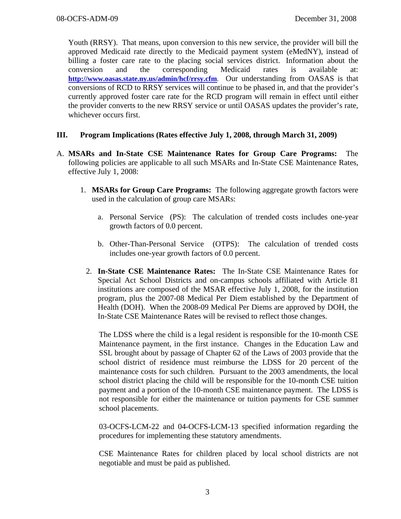Youth (RRSY). That means, upon conversion to this new service, the provider will bill the approved Medicaid rate directly to the Medicaid payment system (eMedNY), instead of billing a foster care rate to the placing social services district. Information about the conversion and the corresponding Medicaid rates is available at: **http://www.oasas.state.ny.us/admin/hcf/rrsy.cfm**. Our understanding from OASAS is that conversions of RCD to RRSY services will continue to be phased in, and that the provider's currently approved foster care rate for the RCD program will remain in effect until either the provider converts to the new RRSY service or until OASAS updates the provider's rate, whichever occurs first.

### **III. Program Implications (Rates effective July 1, 2008, through March 31, 2009)**

- A. **MSARs and In-State CSE Maintenance Rates for Group Care Programs:** The following policies are applicable to all such MSARs and In-State CSE Maintenance Rates, effective July 1, 2008:
	- 1. **MSARs for Group Care Programs:** The following aggregate growth factors were used in the calculation of group care MSARs:
		- a. Personal Service (PS): The calculation of trended costs includes one-year growth factors of 0.0 percent.
		- b. Other-Than-Personal Service (OTPS): The calculation of trended costs includes one-year growth factors of 0.0 percent.
		- 2. **In-State CSE Maintenance Rates:** The In-State CSE Maintenance Rates for Special Act School Districts and on-campus schools affiliated with Article 81 institutions are composed of the MSAR effective July 1, 2008, for the institution program, plus the 2007-08 Medical Per Diem established by the Department of Health (DOH). When the 2008-09 Medical Per Diems are approved by DOH, the In-State CSE Maintenance Rates will be revised to reflect those changes.

The LDSS where the child is a legal resident is responsible for the 10-month CSE Maintenance payment, in the first instance. Changes in the Education Law and SSL brought about by passage of Chapter 62 of the Laws of 2003 provide that the school district of residence must reimburse the LDSS for 20 percent of the maintenance costs for such children. Pursuant to the 2003 amendments, the local school district placing the child will be responsible for the 10-month CSE tuition payment and a portion of the 10-month CSE maintenance payment. The LDSS is not responsible for either the maintenance or tuition payments for CSE summer school placements.

03-OCFS-LCM-22 and 04-OCFS-LCM-13 specified information regarding the procedures for implementing these statutory amendments.

CSE Maintenance Rates for children placed by local school districts are not negotiable and must be paid as published.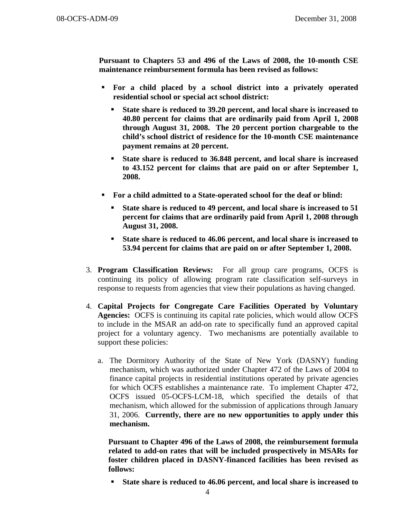**Pursuant to Chapters 53 and 496 of the Laws of 2008, the 10-month CSE maintenance reimbursement formula has been revised as follows:** 

- **For a child placed by a school district into a privately operated residential school or special act school district:** 
	- **State share is reduced to 39.20 percent, and local share is increased to 40.80 percent for claims that are ordinarily paid from April 1, 2008 through August 31, 2008. The 20 percent portion chargeable to the child's school district of residence for the 10-month CSE maintenance payment remains at 20 percent.**
	- **State share is reduced to 36.848 percent, and local share is increased to 43.152 percent for claims that are paid on or after September 1, 2008.**
- **For a child admitted to a State-operated school for the deaf or blind:** 
	- **State share is reduced to 49 percent, and local share is increased to 51 percent for claims that are ordinarily paid from April 1, 2008 through August 31, 2008.**
	- **State share is reduced to 46.06 percent, and local share is increased to 53.94 percent for claims that are paid on or after September 1, 2008.**
- 3. **Program Classification Reviews:** For all group care programs, OCFS is continuing its policy of allowing program rate classification self-surveys in response to requests from agencies that view their populations as having changed.
- 4. **Capital Projects for Congregate Care Facilities Operated by Voluntary Agencies:** OCFS is continuing its capital rate policies, which would allow OCFS to include in the MSAR an add-on rate to specifically fund an approved capital project for a voluntary agency. Two mechanisms are potentially available to support these policies:
	- a. The Dormitory Authority of the State of New York (DASNY) funding mechanism, which was authorized under Chapter 472 of the Laws of 2004 to finance capital projects in residential institutions operated by private agencies for which OCFS establishes a maintenance rate. To implement Chapter 472, OCFS issued 05-OCFS-LCM-18, which specified the details of that mechanism, which allowed for the submission of applications through January 31, 2006. **Currently, there are no new opportunities to apply under this mechanism.**

**Pursuant to Chapter 496 of the Laws of 2008, the reimbursement formula related to add-on rates that will be included prospectively in MSARs for foster children placed in DASNY-financed facilities has been revised as follows:** 

**State share is reduced to 46.06 percent, and local share is increased to**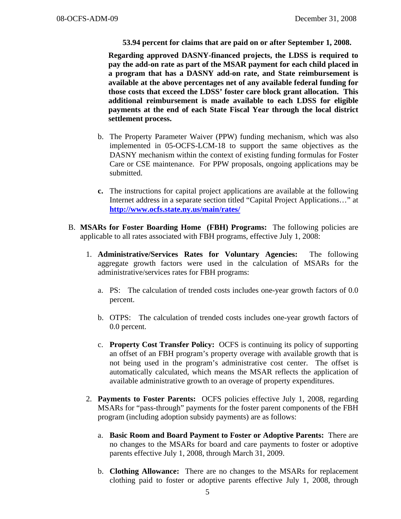**53.94 percent for claims that are paid on or after September 1, 2008.** 

**Regarding approved DASNY-financed projects, the LDSS is required to pay the add-on rate as part of the MSAR payment for each child placed in a program that has a DASNY add-on rate, and State reimbursement is available at the above percentages net of any available federal funding for those costs that exceed the LDSS' foster care block grant allocation. This additional reimbursement is made available to each LDSS for eligible payments at the end of each State Fiscal Year through the local district settlement process.** 

- b. The Property Parameter Waiver (PPW) funding mechanism, which was also implemented in 05-OCFS-LCM-18 to support the same objectives as the DASNY mechanism within the context of existing funding formulas for Foster Care or CSE maintenance. For PPW proposals, ongoing applications may be submitted.
- **c.** The instructions for capital project applications are available at the following Internet address in a separate section titled "Capital Project Applications…" at **http://www.ocfs.state.ny.us/main/rates/**
- B. **MSARs for Foster Boarding Home (FBH) Programs:** The following policies are applicable to all rates associated with FBH programs, effective July 1, 2008:
	- 1. **Administrative/Services Rates for Voluntary Agencies:** The following aggregate growth factors were used in the calculation of MSARs for the administrative/services rates for FBH programs:
		- a. PS: The calculation of trended costs includes one-year growth factors of 0.0 percent.
		- b. OTPS: The calculation of trended costs includes one-year growth factors of 0.0 percent.
		- c. **Property Cost Transfer Policy:** OCFS is continuing its policy of supporting an offset of an FBH program's property overage with available growth that is not being used in the program's administrative cost center. The offset is automatically calculated, which means the MSAR reflects the application of available administrative growth to an overage of property expenditures.
	- 2. **Payments to Foster Parents:** OCFS policies effective July 1, 2008, regarding MSARs for "pass-through" payments for the foster parent components of the FBH program (including adoption subsidy payments) are as follows:
		- a. **Basic Room and Board Payment to Foster or Adoptive Parents:** There are no changes to the MSARs for board and care payments to foster or adoptive parents effective July 1, 2008, through March 31, 2009.
		- b. **Clothing Allowance:** There are no changes to the MSARs for replacement clothing paid to foster or adoptive parents effective July 1, 2008, through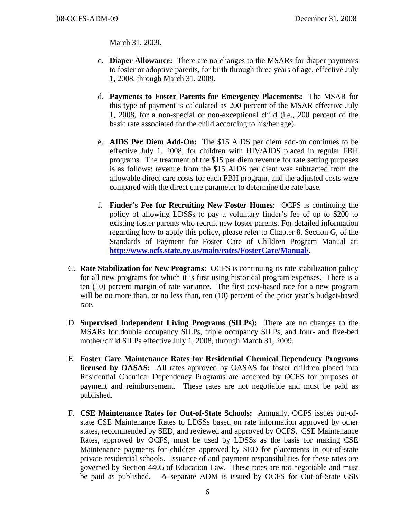March 31, 2009.

- c. **Diaper Allowance:** There are no changes to the MSARs for diaper payments to foster or adoptive parents, for birth through three years of age, effective July 1, 2008, through March 31, 2009.
- d. **Payments to Foster Parents for Emergency Placements:** The MSAR for this type of payment is calculated as 200 percent of the MSAR effective July 1, 2008, for a non-special or non-exceptional child (i.e., 200 percent of the basic rate associated for the child according to his/her age).
- e. **AIDS Per Diem Add-On:** The \$15 AIDS per diem add-on continues to be effective July 1, 2008, for children with HIV/AIDS placed in regular FBH programs. The treatment of the \$15 per diem revenue for rate setting purposes is as follows: revenue from the \$15 AIDS per diem was subtracted from the allowable direct care costs for each FBH program, and the adjusted costs were compared with the direct care parameter to determine the rate base.
- f. **Finder's Fee for Recruiting New Foster Homes:** OCFS is continuing the policy of allowing LDSSs to pay a voluntary finder's fee of up to \$200 to existing foster parents who recruit new foster parents. For detailed information regarding how to apply this policy, please refer to Chapter 8, Section G, of the Standards of Payment for Foster Care of Children Program Manual at: **http://www.ocfs.state.ny.us/main/rates/FosterCare/Manual/.**
- C. **Rate Stabilization for New Programs:** OCFS is continuing its rate stabilization policy for all new programs for which it is first using historical program expenses. There is a ten (10) percent margin of rate variance. The first cost-based rate for a new program will be no more than, or no less than, ten (10) percent of the prior year's budget-based rate.
- D. **Supervised Independent Living Programs (SILPs):** There are no changes to the MSARs for double occupancy SILPs, triple occupancy SILPs, and four- and five-bed mother/child SILPs effective July 1, 2008, through March 31, 2009.
- E. **Foster Care Maintenance Rates for Residential Chemical Dependency Programs licensed by OASAS:** All rates approved by OASAS for foster children placed into Residential Chemical Dependency Programs are accepted by OCFS for purposes of payment and reimbursement. These rates are not negotiable and must be paid as published.
- F. **CSE Maintenance Rates for Out-of-State Schools:** Annually, OCFS issues out-ofstate CSE Maintenance Rates to LDSSs based on rate information approved by other states, recommended by SED, and reviewed and approved by OCFS. CSE Maintenance Rates, approved by OCFS, must be used by LDSSs as the basis for making CSE Maintenance payments for children approved by SED for placements in out-of-state private residential schools. Issuance of and payment responsibilities for these rates are governed by Section 4405 of Education Law. These rates are not negotiable and must be paid as published. A separate ADM is issued by OCFS for Out-of-State CSE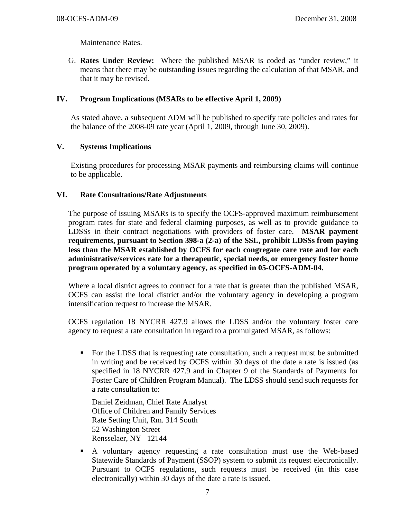Maintenance Rates.

G. **Rates Under Review:** Where the published MSAR is coded as "under review," it means that there may be outstanding issues regarding the calculation of that MSAR, and that it may be revised.

### **IV. Program Implications (MSARs to be effective April 1, 2009)**

As stated above, a subsequent ADM will be published to specify rate policies and rates for the balance of the 2008-09 rate year (April 1, 2009, through June 30, 2009).

### **V. Systems Implications**

Existing procedures for processing MSAR payments and reimbursing claims will continue to be applicable.

### **VI. Rate Consultations/Rate Adjustments**

The purpose of issuing MSARs is to specify the OCFS-approved maximum reimbursement program rates for state and federal claiming purposes, as well as to provide guidance to LDSSs in their contract negotiations with providers of foster care. **MSAR payment requirements, pursuant to Section 398-a (2-a) of the SSL, prohibit LDSSs from paying less than the MSAR established by OCFS for each congregate care rate and for each administrative/services rate for a therapeutic, special needs, or emergency foster home program operated by a voluntary agency, as specified in 05-OCFS-ADM-04.** 

Where a local district agrees to contract for a rate that is greater than the published MSAR, OCFS can assist the local district and/or the voluntary agency in developing a program intensification request to increase the MSAR.

OCFS regulation 18 NYCRR 427.9 allows the LDSS and/or the voluntary foster care agency to request a rate consultation in regard to a promulgated MSAR, as follows:

For the LDSS that is requesting rate consultation, such a request must be submitted in writing and be received by OCFS within 30 days of the date a rate is issued (as specified in 18 NYCRR 427.9 and in Chapter 9 of the Standards of Payments for Foster Care of Children Program Manual). The LDSS should send such requests for a rate consultation to:

Daniel Zeidman, Chief Rate Analyst Office of Children and Family Services Rate Setting Unit, Rm. 314 South 52 Washington Street Rensselaer, NY 12144

 A voluntary agency requesting a rate consultation must use the Web-based Statewide Standards of Payment (SSOP) system to submit its request electronically. Pursuant to OCFS regulations, such requests must be received (in this case electronically) within 30 days of the date a rate is issued.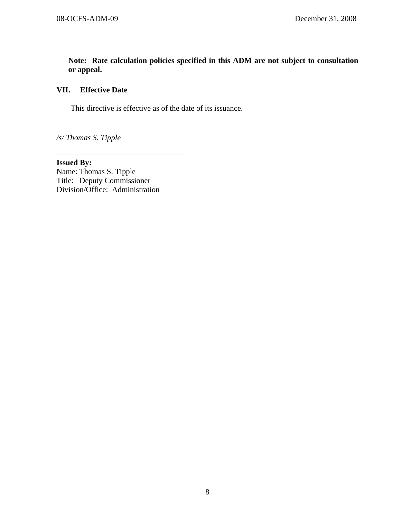**Note: Rate calculation policies specified in this ADM are not subject to consultation or appeal.** 

### **VII. Effective Date**

This directive is effective as of the date of its issuance.

*/s/ Thomas S. Tipple* 

 $\overline{a}$ 

**Issued By:**  Name: Thomas S. Tipple Title: Deputy Commissioner Division/Office: Administration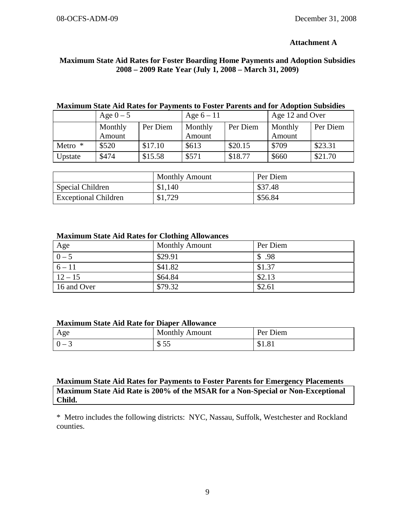### **Attachment A**

## **Maximum State Aid Rates for Foster Boarding Home Payments and Adoption Subsidies 2008 – 2009 Rate Year (July 1, 2008 – March 31, 2009)**

## **Maximum State Aid Rates for Payments to Foster Parents and for Adoption Subsidies**

|           | Age $0-5$ |          | Age $6-11$ |          | Age 12 and Over |          |
|-----------|-----------|----------|------------|----------|-----------------|----------|
|           | Monthly   | Per Diem | Monthly    | Per Diem | Monthly         | Per Diem |
|           | Amount    |          | Amount     |          | Amount          |          |
| Metro $*$ | \$520     | \$17.10  | \$613      | \$20.15  | \$709           | \$23.31  |
| Upstate   | \$474     | \$15.58  | \$571      | \$18.77  | \$660           | \$21.70  |

|                             | <b>Monthly Amount</b> | Per Diem |
|-----------------------------|-----------------------|----------|
| Special Children            | \$1,140               | \$37.48  |
| <b>Exceptional Children</b> | \$1,729               | \$56.84  |

### **Maximum State Aid Rates for Clothing Allowances**

| Age         | <b>Monthly Amount</b> | Per Diem |
|-------------|-----------------------|----------|
| $0 - 5$     | \$29.91               | \$.98    |
| $6 - 11$    | \$41.82               | \$1.37   |
| $12 - 15$   | \$64.84               | \$2.13   |
| 16 and Over | \$79.32               | \$2.61   |

### **Maximum State Aid Rate for Diaper Allowance**

| Age   | <b>Monthly Amount</b> | Per Diem |
|-------|-----------------------|----------|
| $0 -$ | \$55                  | \$1.81   |

**Maximum State Aid Rates for Payments to Foster Parents for Emergency Placements Maximum State Aid Rate is 200% of the MSAR for a Non-Special or Non-Exceptional Child.** 

\* Metro includes the following districts: NYC, Nassau, Suffolk, Westchester and Rockland counties.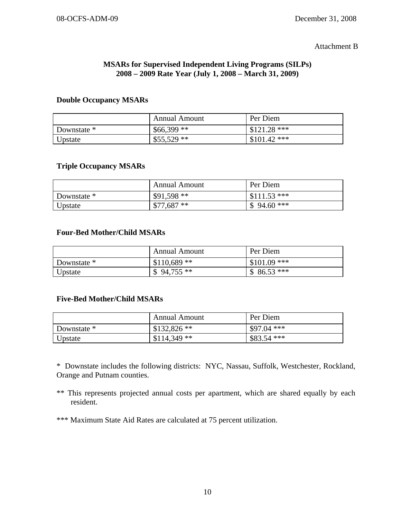#### Attachment B

### **MSARs for Supervised Independent Living Programs (SILPs) 2008 – 2009 Rate Year (July 1, 2008 – March 31, 2009)**

### **Double Occupancy MSARs**

|             | <b>Annual Amount</b> | Per Diem      |
|-------------|----------------------|---------------|
| Downstate * | $$66,399**$          | $$121.28$ *** |
| Upstate     | $$55,529**$          | $$101.42$ *** |

#### **Triple Occupancy MSARs**

|             | <b>Annual Amount</b> | Per Diem      |
|-------------|----------------------|---------------|
| Downstate * | $$91,598**$          | $$111.53$ *** |
| Upstate     | $$77,687**$          | $$94.60***$   |

#### **Four-Bed Mother/Child MSARs**

|             | <b>Annual Amount</b> | Per Diem      |
|-------------|----------------------|---------------|
| Downstate * | $$110,689$ **        | $$101.09$ *** |
| Upstate     | $$94,755**$          | $$86.53***$   |

### **Five-Bed Mother/Child MSARs**

|             | <b>Annual Amount</b> | Per Diem     |
|-------------|----------------------|--------------|
| Downstate * | $$132,826**$         | $$97.04$ *** |
| Upstate     | $$114,349**$         | $$83.54$ *** |

\* Downstate includes the following districts: NYC, Nassau, Suffolk, Westchester, Rockland, Orange and Putnam counties.

\*\* This represents projected annual costs per apartment, which are shared equally by each resident.

\*\*\* Maximum State Aid Rates are calculated at 75 percent utilization.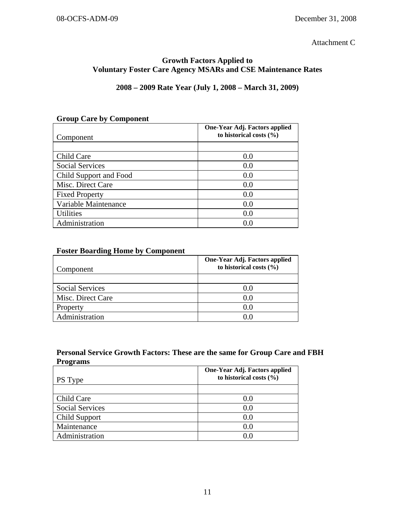#### Attachment C

## **Growth Factors Applied to Voluntary Foster Care Agency MSARs and CSE Maintenance Rates**

## **2008 – 2009 Rate Year (July 1, 2008 – March 31, 2009)**

### **Group Care by Component**

| Component              | One-Year Adj. Factors applied<br>to historical costs $(\% )$ |
|------------------------|--------------------------------------------------------------|
|                        |                                                              |
| Child Care             | 0.0                                                          |
| <b>Social Services</b> | 0.0                                                          |
| Child Support and Food | 0.0                                                          |
| Misc. Direct Care      | 0.0                                                          |
| <b>Fixed Property</b>  | 0.0                                                          |
| Variable Maintenance   | 0.0                                                          |
| <b>Utilities</b>       | 0.0                                                          |
| Administration         |                                                              |

### **Foster Boarding Home by Component**

| Component              | One-Year Adj. Factors applied<br>to historical costs $(\% )$ |
|------------------------|--------------------------------------------------------------|
|                        |                                                              |
| <b>Social Services</b> | (0.0)                                                        |
| Misc. Direct Care      | 0.0                                                          |
| Property               | 0.0                                                          |
| Administration         | ()()                                                         |

## **Personal Service Growth Factors: These are the same for Group Care and FBH Programs**

| <b>PS</b> Type         | One-Year Adj. Factors applied<br>to historical costs $(\% )$ |
|------------------------|--------------------------------------------------------------|
|                        |                                                              |
| Child Care             | (0.0)                                                        |
| <b>Social Services</b> | 0.0                                                          |
| Child Support          | 0.0                                                          |
| Maintenance            | 0.0                                                          |
| Administration         |                                                              |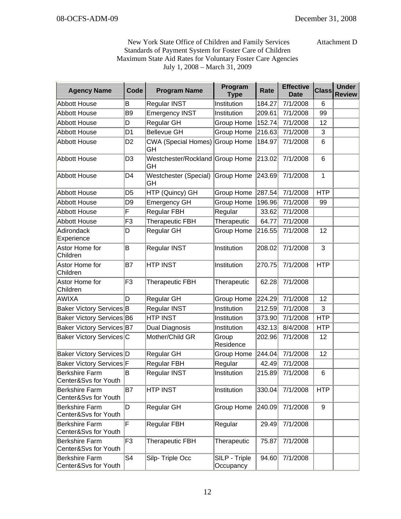### New York State Office of Children and Family Services Attachment D Standards of Payment System for Foster Care of Children Maximum State Aid Rates for Voluntary Foster Care Agencies July 1, 2008 – March 31, 2009

| <b>Agency Name</b>                            | Code           | <b>Program Name</b>                   | Program<br><b>Type</b>     | Rate   | <b>Effective</b><br><b>Date</b> | <b>Class</b>   | <b>Under</b><br><b>Review</b> |
|-----------------------------------------------|----------------|---------------------------------------|----------------------------|--------|---------------------------------|----------------|-------------------------------|
| <b>Abbott House</b>                           | B              | Regular INST                          | Institution                | 184.27 | 7/1/2008                        | 6              |                               |
| <b>Abbott House</b>                           | B <sub>9</sub> | <b>Emergency INST</b>                 | Institution                | 209.61 | 7/1/2008                        | 99             |                               |
| <b>Abbott House</b>                           | D              | Regular GH                            | Group Home                 | 152.74 | 7/1/2008                        | 12             |                               |
| <b>Abbott House</b>                           | D <sub>1</sub> | <b>Bellevue GH</b>                    | Group Home                 | 216.63 | 7/1/2008                        | 3              |                               |
| <b>Abbott House</b>                           | D <sub>2</sub> | <b>CWA (Special Homes)</b><br>GH      | <b>Group Home</b>          | 184.97 | 7/1/2008                        | $6\phantom{1}$ |                               |
| <b>Abbott House</b>                           | D <sub>3</sub> | Westchester/Rockland Group Home<br>GH |                            | 213.02 | 7/1/2008                        | $6\phantom{1}$ |                               |
| <b>Abbott House</b>                           | D <sub>4</sub> | <b>Westchester (Special)</b><br>GH    | Group Home                 | 243.69 | 7/1/2008                        | 1              |                               |
| <b>Abbott House</b>                           | D <sub>5</sub> | HTP (Quincy) GH                       | Group Home                 | 287.54 | 7/1/2008                        | <b>HTP</b>     |                               |
| <b>Abbott House</b>                           | D <sub>9</sub> | <b>Emergency GH</b>                   | Group Home                 | 196.96 | 7/1/2008                        | 99             |                               |
| <b>Abbott House</b>                           | F              | <b>Regular FBH</b>                    | Regular                    | 33.62  | 7/1/2008                        |                |                               |
| <b>Abbott House</b>                           | F <sub>3</sub> | Therapeutic FBH                       | Therapeutic                | 64.77  | 7/1/2008                        |                |                               |
| Adirondack<br>Experience                      | D              | Regular GH                            | Group Home                 | 216.55 | 7/1/2008                        | 12             |                               |
| Astor Home for<br>Children                    | B              | Regular INST                          | Institution                | 208.02 | 7/1/2008                        | 3              |                               |
| Astor Home for<br>Children                    | <b>B7</b>      | <b>HTP INST</b>                       | Institution                | 270.75 | 7/1/2008                        | <b>HTP</b>     |                               |
| Astor Home for<br>Children                    | F <sub>3</sub> | Therapeutic FBH                       | Therapeutic                | 62.28  | 7/1/2008                        |                |                               |
| <b>AWIXA</b>                                  | D              | Regular GH                            | Group Home                 | 224.29 | 7/1/2008                        | 12             |                               |
| Baker Victory Services <sup>B</sup>           |                | Regular INST                          | Institution                | 212.59 | 7/1/2008                        | 3              |                               |
| Baker Victory Services B6                     |                | <b>HTP INST</b>                       | Institution                | 373.90 | 7/1/2008                        | <b>HTP</b>     |                               |
| Baker Victory Services B7                     |                | Dual Diagnosis                        | Institution                | 432.13 | 8/4/2008                        | <b>HTP</b>     |                               |
| Baker Victory Services C                      |                | Mother/Child GR                       | Group<br>Residence         | 202.96 | 7/1/2008                        | 12             |                               |
| Baker Victory Services D                      |                | Regular GH                            | Group Home                 | 244.04 | 7/1/2008                        | 12             |                               |
| Baker Victory Services F                      |                | Regular FBH                           | Regular                    | 42.49  | 7/1/2008                        |                |                               |
| <b>Berkshire Farm</b><br>Center&Svs for Youth | B              | <b>Regular INST</b>                   | Institution                | 215.89 | 7/1/2008                        | 6              |                               |
| <b>Berkshire Farm</b><br>Center&Svs for Youth | B7             | <b>HTP INST</b>                       | Institution                | 330.04 | 7/1/2008                        | <b>HTP</b>     |                               |
| <b>Berkshire Farm</b><br>Center&Svs for Youth | D              | Regular GH                            | Group Home                 | 240.09 | 7/1/2008                        | 9              |                               |
| <b>Berkshire Farm</b><br>Center&Svs for Youth | F              | <b>Regular FBH</b>                    | Regular                    | 29.49  | 7/1/2008                        |                |                               |
| <b>Berkshire Farm</b><br>Center&Svs for Youth | F <sub>3</sub> | <b>Therapeutic FBH</b>                | Therapeutic                | 75.87  | 7/1/2008                        |                |                               |
| <b>Berkshire Farm</b><br>Center&Svs for Youth | S <sub>4</sub> | Silp-Triple Occ                       | SILP - Triple<br>Occupancy | 94.60  | 7/1/2008                        |                |                               |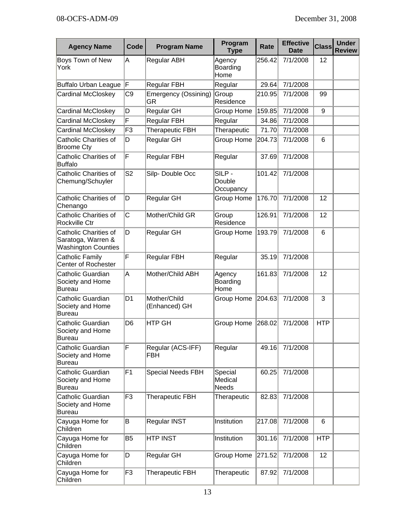| <b>Agency Name</b>                                                        | Code           | <b>Program Name</b>                      | Program<br><b>Type</b>             | Rate   | <b>Effective</b><br><b>Date</b> | <b>Class</b> | <b>Under</b><br><b>Review</b> |
|---------------------------------------------------------------------------|----------------|------------------------------------------|------------------------------------|--------|---------------------------------|--------------|-------------------------------|
| Boys Town of New<br>York                                                  | Α              | Regular ABH                              | Agency<br>Boarding<br>Home         | 256.42 | 7/1/2008                        | 12           |                               |
| <b>Buffalo Urban League</b>                                               | F              | <b>Regular FBH</b>                       | Regular                            | 29.64  | 7/1/2008                        |              |                               |
| <b>Cardinal McCloskey</b>                                                 | C <sub>9</sub> | <b>Emergency (Ossining)</b><br><b>GR</b> | Group<br>Residence                 | 210.95 | 7/1/2008                        | 99           |                               |
| <b>Cardinal McCloskey</b>                                                 | D              | Regular GH                               | Group Home                         | 159.85 | 7/1/2008                        | 9            |                               |
| <b>Cardinal McCloskey</b>                                                 | F              | Regular FBH                              | Regular                            | 34.86  | 7/1/2008                        |              |                               |
| <b>Cardinal McCloskey</b>                                                 | F <sub>3</sub> | <b>Therapeutic FBH</b>                   | Therapeutic                        | 71.70  | 7/1/2008                        |              |                               |
| Catholic Charities of<br><b>Broome Cty</b>                                | D              | Regular GH                               | Group Home                         | 204.73 | 7/1/2008                        | 6            |                               |
| Catholic Charities of<br><b>Buffalo</b>                                   | F              | Regular FBH                              | Regular                            | 37.69  | 7/1/2008                        |              |                               |
| Catholic Charities of<br>Chemung/Schuyler                                 | S <sub>2</sub> | Silp-Double Occ                          | SILP-<br>Double<br>Occupancy       | 101.42 | 7/1/2008                        |              |                               |
| <b>Catholic Charities of</b><br>Chenango                                  | D              | Regular GH                               | Group Home                         | 176.70 | 7/1/2008                        | 12           |                               |
| <b>Catholic Charities of</b><br><b>Rockville Ctr</b>                      | C              | Mother/Child GR                          | Group<br>Residence                 | 126.91 | 7/1/2008                        | 12           |                               |
| Catholic Charities of<br>Saratoga, Warren &<br><b>Washington Counties</b> | D              | <b>Regular GH</b>                        | Group Home                         | 193.79 | 7/1/2008                        | 6            |                               |
| <b>Catholic Family</b><br><b>Center of Rochester</b>                      | F              | Regular FBH                              | Regular                            | 35.19  | 7/1/2008                        |              |                               |
| Catholic Guardian<br>Society and Home<br><b>Bureau</b>                    | A              | Mother/Child ABH                         | Agency<br>Boarding<br>Home         | 161.83 | 7/1/2008                        | 12           |                               |
| Catholic Guardian<br>Society and Home<br><b>Bureau</b>                    | D <sub>1</sub> | Mother/Child<br>(Enhanced) GH            | Group Home                         | 204.63 | 7/1/2008                        | 3            |                               |
| Catholic Guardian<br>Society and Home<br>Bureau                           | D <sub>6</sub> | <b>HTP GH</b>                            | Group Home                         | 268.02 | 7/1/2008                        | <b>HTP</b>   |                               |
| Catholic Guardian<br>Society and Home<br><b>Bureau</b>                    | F              | Regular (ACS-IFF)<br>FBH                 | Regular                            | 49.16  | 7/1/2008                        |              |                               |
| Catholic Guardian<br>Society and Home<br><b>Bureau</b>                    | F1             | Special Needs FBH                        | Special<br>Medical<br><b>Needs</b> | 60.25  | 7/1/2008                        |              |                               |
| Catholic Guardian<br>Society and Home<br><b>Bureau</b>                    | F <sub>3</sub> | <b>Therapeutic FBH</b>                   | Therapeutic                        | 82.83  | 7/1/2008                        |              |                               |
| Cayuga Home for<br>Children                                               | B              | Regular INST                             | Institution                        | 217.08 | 7/1/2008                        | 6            |                               |
| Cayuga Home for<br>Children                                               | B <sub>5</sub> | <b>HTP INST</b>                          | Institution                        | 301.16 | 7/1/2008                        | <b>HTP</b>   |                               |
| Cayuga Home for<br>Children                                               | D              | Regular GH                               | Group Home                         | 271.52 | 7/1/2008                        | 12           |                               |
| Cayuga Home for<br>Children                                               | F <sub>3</sub> | <b>Therapeutic FBH</b>                   | Therapeutic                        | 87.92  | 7/1/2008                        |              |                               |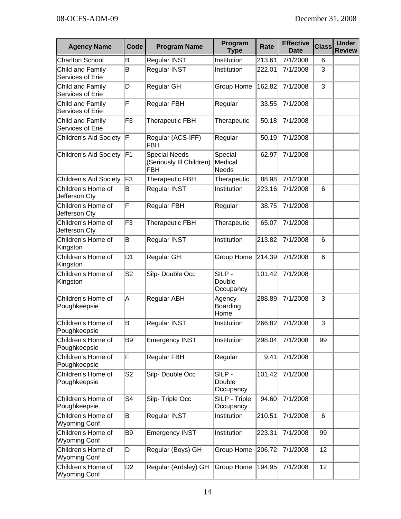| <b>Agency Name</b>                   | Code           | <b>Program Name</b>                                            | Program<br><b>Type</b>             | Rate   | <b>Effective</b><br><b>Date</b> | <b>Class</b> | <b>Under</b><br><b>Review</b> |
|--------------------------------------|----------------|----------------------------------------------------------------|------------------------------------|--------|---------------------------------|--------------|-------------------------------|
| <b>Charlton School</b>               | B              | Regular INST                                                   | Institution                        | 213.61 | 7/1/2008                        | 6            |                               |
| Child and Family<br>Services of Erie | B              | Regular INST                                                   | Institution                        | 222.01 | 7/1/2008                        | 3            |                               |
| Child and Family<br>Services of Erie | D              | Regular GH                                                     | Group Home                         | 162.82 | 7/1/2008                        | 3            |                               |
| Child and Family<br>Services of Erie | F              | <b>Regular FBH</b>                                             | Regular                            | 33.55  | 7/1/2008                        |              |                               |
| Child and Family<br>Services of Erie | F <sub>3</sub> | <b>Therapeutic FBH</b>                                         | Therapeutic                        | 50.18  | 7/1/2008                        |              |                               |
| <b>Children's Aid Society</b>        | F              | Regular (ACS-IFF)<br><b>FBH</b>                                | Regular                            | 50.19  | 7/1/2008                        |              |                               |
| <b>Children's Aid Society</b>        | F <sub>1</sub> | <b>Special Needs</b><br>(Seriously III Children)<br><b>FBH</b> | Special<br>Medical<br><b>Needs</b> | 62.97  | 7/1/2008                        |              |                               |
| <b>Children's Aid Society</b>        | F <sub>3</sub> | Therapeutic FBH                                                | Therapeutic                        | 88.98  | 7/1/2008                        |              |                               |
| Children's Home of<br>Jefferson Cty  | B              | <b>Regular INST</b>                                            | Institution                        | 223.16 | 7/1/2008                        | 6            |                               |
| Children's Home of<br>Jefferson Cty  | F              | <b>Regular FBH</b>                                             | Regular                            | 38.75  | 7/1/2008                        |              |                               |
| Children's Home of<br>Jefferson Cty  | F <sub>3</sub> | <b>Therapeutic FBH</b>                                         | Therapeutic                        | 65.07  | 7/1/2008                        |              |                               |
| Children's Home of<br>Kingston       | B              | Regular INST                                                   | Institution                        | 213.82 | 7/1/2008                        | 6            |                               |
| Children's Home of<br>Kingston       | D <sub>1</sub> | <b>Regular GH</b>                                              | Group Home                         | 214.39 | 7/1/2008                        | 6            |                               |
| Children's Home of<br>Kingston       | S <sub>2</sub> | Silp-Double Occ                                                | SILP-<br>Double<br>Occupancy       | 101.42 | 7/1/2008                        |              |                               |
| Children's Home of<br>Poughkeepsie   | A              | Regular ABH                                                    | Agency<br>Boarding<br>Home         | 288.89 | 7/1/2008                        | 3            |                               |
| Children's Home of<br>Poughkeepsie   | B              | Regular INST                                                   | Institution                        | 266.82 | 7/1/2008                        | 3            |                               |
| Children's Home of<br>Poughkeepsie   | B <sub>9</sub> | <b>Emergency INST</b>                                          | Institution                        | 298.04 | 7/1/2008                        | 99           |                               |
| Children's Home of<br>Poughkeepsie   | F              | <b>Regular FBH</b>                                             | Regular                            | 9.41   | 7/1/2008                        |              |                               |
| Children's Home of<br>Poughkeepsie   | S <sub>2</sub> | Silp-Double Occ                                                | SILP-<br>Double<br>Occupancy       | 101.42 | 7/1/2008                        |              |                               |
| Children's Home of<br>Poughkeepsie   | S4             | Silp-Triple Occ                                                | SILP - Triple<br>Occupancy         | 94.60  | 7/1/2008                        |              |                               |
| Children's Home of<br>Wyoming Conf.  | B              | Regular INST                                                   | Institution                        | 210.51 | 7/1/2008                        | 6            |                               |
| Children's Home of<br>Wyoming Conf.  | B <sub>9</sub> | <b>Emergency INST</b>                                          | Institution                        | 223.31 | 7/1/2008                        | 99           |                               |
| Children's Home of<br>Wyoming Conf.  | D              | Regular (Boys) GH                                              | Group Home                         | 206.72 | 7/1/2008                        | 12           |                               |
| Children's Home of<br>Wyoming Conf.  | D <sub>2</sub> | Regular (Ardsley) GH                                           | Group Home                         | 194.95 | 7/1/2008                        | 12           |                               |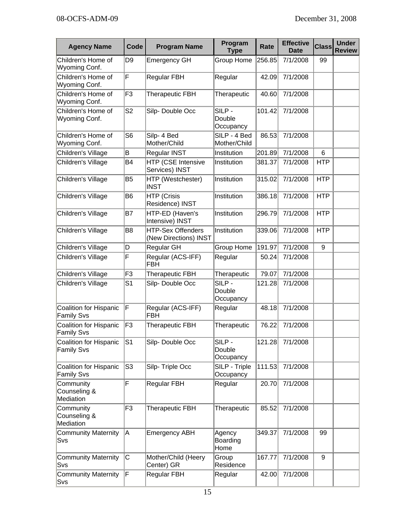| <b>Agency Name</b>                                 | Code           | <b>Program Name</b>                               | Program<br><b>Type</b>       | Rate   | <b>Effective</b><br><b>Date</b> | <b>Class</b> | <b>Under</b><br><b>Review</b> |
|----------------------------------------------------|----------------|---------------------------------------------------|------------------------------|--------|---------------------------------|--------------|-------------------------------|
| Children's Home of<br>Wyoming Conf.                | D <sub>9</sub> | <b>Emergency GH</b>                               | Group Home                   | 256.85 | 7/1/2008                        | 99           |                               |
| Children's Home of<br>Wyoming Conf.                | F              | <b>Regular FBH</b>                                | Regular                      | 42.09  | 7/1/2008                        |              |                               |
| Children's Home of<br>Wyoming Conf.                | F <sub>3</sub> | Therapeutic FBH                                   | Therapeutic                  | 40.60  | 7/1/2008                        |              |                               |
| Children's Home of<br>Wyoming Conf.                | S <sub>2</sub> | Silp-Double Occ                                   | SILP-<br>Double<br>Occupancy | 101.42 | 7/1/2008                        |              |                               |
| Children's Home of<br>Wyoming Conf.                | S <sub>6</sub> | Silp- 4 Bed<br>Mother/Child                       | SILP - 4 Bed<br>Mother/Child | 86.53  | 7/1/2008                        |              |                               |
| Children's Village                                 | В              | Regular INST                                      | Institution                  | 201.89 | 7/1/2008                        | 6            |                               |
| Children's Village                                 | <b>B4</b>      | HTP (CSE Intensive<br>Services) INST              | Institution                  | 381.37 | 7/1/2008                        | <b>HTP</b>   |                               |
| Children's Village                                 | B <sub>5</sub> | HTP (Westchester)<br><b>INST</b>                  | Institution                  | 315.02 | 7/1/2008                        | <b>HTP</b>   |                               |
| Children's Village                                 | B <sub>6</sub> | <b>HTP (Crisis</b><br>Residence) INST             | Institution                  | 386.18 | 7/1/2008                        | <b>HTP</b>   |                               |
| Children's Village                                 | B7             | HTP-ED (Haven's<br>Intensive) INST                | Institution                  | 296.79 | 7/1/2008                        | <b>HTP</b>   |                               |
| Children's Village                                 | B <sub>8</sub> | <b>HTP-Sex Offenders</b><br>(New Directions) INST | Institution                  | 339.06 | 7/1/2008                        | <b>HTP</b>   |                               |
| Children's Village                                 | D              | Regular GH                                        | Group Home                   | 191.97 | 7/1/2008                        | 9            |                               |
| Children's Village                                 | F              | Regular (ACS-IFF)<br><b>FBH</b>                   | Regular                      | 50.24  | 7/1/2008                        |              |                               |
| Children's Village                                 | F <sub>3</sub> | Therapeutic FBH                                   | Therapeutic                  | 79.07  | 7/1/2008                        |              |                               |
| Children's Village                                 | S <sub>1</sub> | Silp-Double Occ                                   | SILP-<br>Double<br>Occupancy | 121.28 | 7/1/2008                        |              |                               |
| Coalition for Hispanic<br><b>Family Svs</b>        | F              | Regular (ACS-IFF)<br><b>FBH</b>                   | Regular                      | 48.18  | 7/1/2008                        |              |                               |
| Coalition for Hispanic<br><b>Family Svs</b>        | F <sub>3</sub> | Therapeutic FBH                                   | Therapeutic                  | 76.22  | 7/1/2008                        |              |                               |
| <b>Coalition for Hispanic</b><br><b>Family Svs</b> | S <sub>1</sub> | Silp-Double Occ                                   | SILP-<br>Double<br>Occupancy | 121.28 | 7/1/2008                        |              |                               |
| <b>Coalition for Hispanic</b><br><b>Family Svs</b> | S <sub>3</sub> | Silp-Triple Occ                                   | SILP - Triple<br>Occupancy   | 111.53 | 7/1/2008                        |              |                               |
| Community<br>Counseling &<br>Mediation             | F              | <b>Regular FBH</b>                                | Regular                      | 20.70  | 7/1/2008                        |              |                               |
| Community<br>Counseling &<br>Mediation             | F <sub>3</sub> | Therapeutic FBH                                   | Therapeutic                  | 85.52  | 7/1/2008                        |              |                               |
| <b>Community Maternity</b><br>Svs                  | lA.            | <b>Emergency ABH</b>                              | Agency<br>Boarding<br>Home   | 349.37 | 7/1/2008                        | 99           |                               |
| <b>Community Maternity</b><br>Svs                  | C              | Mother/Child (Heery<br>Center) GR                 | Group<br>Residence           | 167.77 | 7/1/2008                        | 9            |                               |
| <b>Community Maternity</b><br>Svs                  | F              | Regular FBH                                       | Regular                      | 42.00  | 7/1/2008                        |              |                               |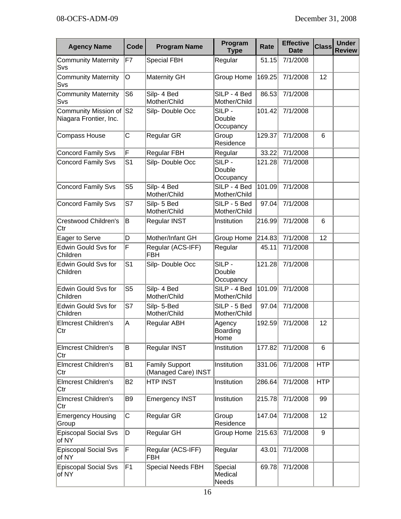| <b>Agency Name</b>                             | Code           | <b>Program Name</b>                          | Program<br><b>Type</b>       | Rate   | <b>Effective</b><br><b>Date</b> | <b>Class</b> | <b>Under</b><br><b>Review</b> |
|------------------------------------------------|----------------|----------------------------------------------|------------------------------|--------|---------------------------------|--------------|-------------------------------|
| <b>Community Maternity</b><br>Svs              | F7             | <b>Special FBH</b>                           | Regular                      | 51.15  | 7/1/2008                        |              |                               |
| <b>Community Maternity</b><br>Svs              | O              | <b>Maternity GH</b>                          | Group Home                   | 169.25 | 7/1/2008                        | 12           |                               |
| <b>Community Maternity</b><br>Svs              | S <sub>6</sub> | Silp- 4 Bed<br>Mother/Child                  | SILP - 4 Bed<br>Mother/Child | 86.53  | 7/1/2008                        |              |                               |
| Community Mission of<br>Niagara Frontier, Inc. | S2             | Silp-Double Occ                              | SILP-<br>Double<br>Occupancy | 101.42 | 7/1/2008                        |              |                               |
| <b>Compass House</b>                           | C              | Regular GR                                   | Group<br>Residence           | 129.37 | 7/1/2008                        | 6            |                               |
| <b>Concord Family Svs</b>                      | F              | Regular FBH                                  | Regular                      | 33.22  | 7/1/2008                        |              |                               |
| <b>Concord Family Svs</b>                      | S <sub>1</sub> | Silp-Double Occ                              | SILP-<br>Double<br>Occupancy | 121.28 | 7/1/2008                        |              |                               |
| <b>Concord Family Svs</b>                      | S <sub>5</sub> | Silp- 4 Bed<br>Mother/Child                  | SILP - 4 Bed<br>Mother/Child | 101.09 | 7/1/2008                        |              |                               |
| <b>Concord Family Svs</b>                      | S7             | Silp-5 Bed<br>Mother/Child                   | SILP - 5 Bed<br>Mother/Child | 97.04  | 7/1/2008                        |              |                               |
| Crestwood Children's<br>Ctr                    | B              | Regular INST                                 | Institution                  | 216.99 | 7/1/2008                        | 6            |                               |
| Eager to Serve                                 | D              | Mother/Infant GH                             | Group Home 214.83            |        | 7/1/2008                        | 12           |                               |
| Edwin Gould Svs for<br>Children                | F              | Regular (ACS-IFF)<br><b>FBH</b>              | Regular                      | 45.11  | 7/1/2008                        |              |                               |
| Edwin Gould Svs for<br>Children                | S <sub>1</sub> | Silp-Double Occ                              | SILP-<br>Double<br>Occupancy | 121.28 | 7/1/2008                        |              |                               |
| <b>Edwin Gould Svs for</b><br>Children         | S <sub>5</sub> | Silp- 4 Bed<br>Mother/Child                  | SILP - 4 Bed<br>Mother/Child | 101.09 | 7/1/2008                        |              |                               |
| Edwin Gould Svs for<br>Children                | S7             | Silp- 5-Bed<br>Mother/Child                  | SILP - 5 Bed<br>Mother/Child | 97.04  | 7/1/2008                        |              |                               |
| <b>Elmcrest Children's</b><br>Ctr              | A              | Regular ABH                                  | Agency<br>Boarding<br>Home   | 192.59 | 7/1/2008                        | 12           |                               |
| <b>Elmcrest Children's</b><br>Ctr              | B              | Regular INST                                 | Institution                  | 177.82 | 7/1/2008                        | 6            |                               |
| <b>Elmcrest Children's</b><br>Ctr              | B <sub>1</sub> | <b>Family Support</b><br>(Managed Care) INST | Institution                  | 331.06 | 7/1/2008                        | <b>HTP</b>   |                               |
| <b>Elmcrest Children's</b><br>Ctr              | <b>B2</b>      | <b>HTP INST</b>                              | Institution                  | 286.64 | 7/1/2008                        | <b>HTP</b>   |                               |
| <b>Elmcrest Children's</b><br>Ctr              | B <sub>9</sub> | <b>Emergency INST</b>                        | Institution                  | 215.78 | 7/1/2008                        | 99           |                               |
| <b>Emergency Housing</b><br>Group              | C              | Regular GR                                   | Group<br>Residence           | 147.04 | 7/1/2008                        | 12           |                               |
| <b>Episcopal Social Svs</b><br>of NY           | D              | Regular GH                                   | Group Home                   | 215.63 | 7/1/2008                        | 9            |                               |
| <b>Episcopal Social Svs</b><br>of NY           | F              | Regular (ACS-IFF)<br>FBH                     | Regular                      | 43.01  | 7/1/2008                        |              |                               |
| <b>Episcopal Social Svs</b><br>of NY           | F1             | <b>Special Needs FBH</b>                     | Special<br>Medical<br>Needs  | 69.78  | 7/1/2008                        |              |                               |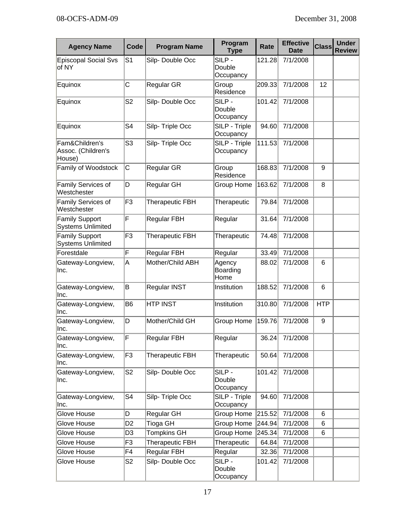| <b>Agency Name</b>                                | Code           | <b>Program Name</b>    | Program<br><b>Type</b>       | Rate   | <b>Effective</b><br><b>Date</b> | <b>Class</b> | <b>Under</b><br><b>Review</b> |
|---------------------------------------------------|----------------|------------------------|------------------------------|--------|---------------------------------|--------------|-------------------------------|
| <b>Episcopal Social Svs</b><br>of NY              | S <sub>1</sub> | Silp-Double Occ        | SILP-<br>Double<br>Occupancy | 121.28 | 7/1/2008                        |              |                               |
| Equinox                                           | C              | Regular GR             | Group<br>Residence           | 209.33 | 7/1/2008                        | 12           |                               |
| Equinox                                           | S <sub>2</sub> | Silp-Double Occ        | SILP-<br>Double<br>Occupancy | 101.42 | 7/1/2008                        |              |                               |
| Equinox                                           | S <sub>4</sub> | Silp-Triple Occ        | SILP - Triple<br>Occupancy   | 94.60  | 7/1/2008                        |              |                               |
| Fam&Children's<br>Assoc. (Children's<br>House)    | S <sub>3</sub> | Silp-Triple Occ        | SILP - Triple<br>Occupancy   | 111.53 | 7/1/2008                        |              |                               |
| Family of Woodstock                               | C              | Regular GR             | Group<br>Residence           | 168.83 | 7/1/2008                        | 9            |                               |
| Family Services of<br>Westchester                 | D              | <b>Regular GH</b>      | Group Home                   | 163.62 | 7/1/2008                        | 8            |                               |
| Family Services of<br>Westchester                 | F <sub>3</sub> | Therapeutic FBH        | Therapeutic                  | 79.84  | 7/1/2008                        |              |                               |
| <b>Family Support</b><br><b>Systems Unlimited</b> | F              | <b>Regular FBH</b>     | Regular                      | 31.64  | 7/1/2008                        |              |                               |
| <b>Family Support</b><br><b>Systems Unlimited</b> | F <sub>3</sub> | Therapeutic FBH        | Therapeutic                  | 74.48  | 7/1/2008                        |              |                               |
| Forestdale                                        | F              | <b>Regular FBH</b>     | Regular                      | 33.49  | 7/1/2008                        |              |                               |
| Gateway-Longview,<br>Inc.                         | A              | Mother/Child ABH       | Agency<br>Boarding<br>Home   | 88.02  | 7/1/2008                        | 6            |                               |
| Gateway-Longview,<br>Inc.                         | B              | Regular INST           | Institution                  | 188.52 | 7/1/2008                        | 6            |                               |
| Gateway-Longview,<br>Inc.                         | B <sub>6</sub> | <b>HTP INST</b>        | Institution                  | 310.80 | 7/1/2008                        | <b>HTP</b>   |                               |
| Gateway-Longview,<br>lnc.                         | D              | Mother/Child GH        | Group Home                   | 159.76 | 7/1/2008                        | 9            |                               |
| Gateway-Longview,<br>Inc.                         | F              | <b>Regular FBH</b>     | Regular                      | 36.24  | 7/1/2008                        |              |                               |
| Gateway-Longview,<br>Inc.                         | F <sub>3</sub> | <b>Therapeutic FBH</b> | Therapeutic                  | 50.64  | 7/1/2008                        |              |                               |
| Gateway-Longview,<br>Inc.                         | S <sub>2</sub> | Silp-Double Occ        | SILP-<br>Double<br>Occupancy | 101.42 | 7/1/2008                        |              |                               |
| Gateway-Longview,<br>Inc.                         | S4             | Silp-Triple Occ        | SILP - Triple<br>Occupancy   | 94.60  | 7/1/2008                        |              |                               |
| Glove House                                       | D              | Regular GH             | Group Home                   | 215.52 | 7/1/2008                        | 6            |                               |
| Glove House                                       | D <sub>2</sub> | <b>Tioga GH</b>        | Group Home                   | 244.94 | 7/1/2008                        | 6            |                               |
| Glove House                                       | D <sub>3</sub> | <b>Tompkins GH</b>     | Group Home                   | 245.34 | 7/1/2008                        | 6            |                               |
| Glove House                                       | F <sub>3</sub> | <b>Therapeutic FBH</b> | Therapeutic                  | 64.84  | 7/1/2008                        |              |                               |
| Glove House                                       | F4             | <b>Regular FBH</b>     | Regular                      | 32.36  | 7/1/2008                        |              |                               |
| Glove House                                       | S <sub>2</sub> | Silp-Double Occ        | SILP-<br>Double<br>Occupancy | 101.42 | 7/1/2008                        |              |                               |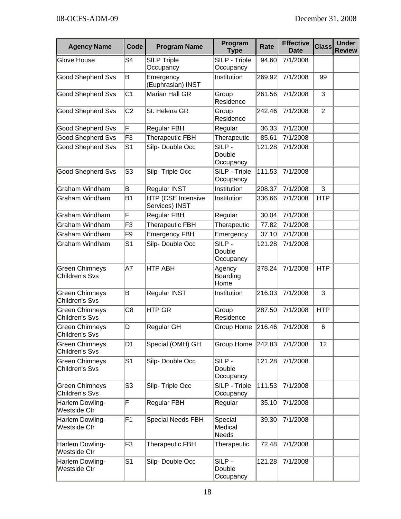| <b>Agency Name</b>                             | Code           | <b>Program Name</b>                  | Program<br><b>Type</b>             | Rate   | <b>Effective</b><br><b>Date</b> | <b>Class</b>   | <b>Under</b><br><b>Review</b> |
|------------------------------------------------|----------------|--------------------------------------|------------------------------------|--------|---------------------------------|----------------|-------------------------------|
| Glove House                                    | S <sub>4</sub> | <b>SILP Triple</b><br>Occupancy      | SILP - Triple<br>Occupancy         | 94.60  | 7/1/2008                        |                |                               |
| <b>Good Shepherd Svs</b>                       | B              | Emergency<br>(Euphrasian) INST       | Institution                        | 269.92 | 7/1/2008                        | 99             |                               |
| <b>Good Shepherd Svs</b>                       | C <sub>1</sub> | Marian Hall GR                       | Group<br>Residence                 | 261.56 | 7/1/2008                        | 3              |                               |
| <b>Good Shepherd Svs</b>                       | C <sub>2</sub> | St. Helena GR                        | Group<br>Residence                 | 242.46 | 7/1/2008                        | $\overline{2}$ |                               |
| <b>Good Shepherd Svs</b>                       | F              | <b>Regular FBH</b>                   | Regular                            | 36.33  | 7/1/2008                        |                |                               |
| <b>Good Shepherd Svs</b>                       | F3             | <b>Therapeutic FBH</b>               | Therapeutic                        | 85.61  | 7/1/2008                        |                |                               |
| <b>Good Shepherd Svs</b>                       | S <sub>1</sub> | Silp-Double Occ                      | SILP-<br>Double<br>Occupancy       | 121.28 | 7/1/2008                        |                |                               |
| <b>Good Shepherd Svs</b>                       | S <sub>3</sub> | Silp-Triple Occ                      | SILP - Triple<br>Occupancy         | 111.53 | 7/1/2008                        |                |                               |
| Graham Windham                                 | B              | Regular INST                         | Institution                        | 208.37 | 7/1/2008                        | 3              |                               |
| Graham Windham                                 | B <sub>1</sub> | HTP (CSE Intensive<br>Services) INST | Institution                        | 336.66 | 7/1/2008                        | <b>HTP</b>     |                               |
| <b>Graham Windham</b>                          | F              | <b>Regular FBH</b>                   | Regular                            | 30.04  | 7/1/2008                        |                |                               |
| <b>Graham Windham</b>                          | F <sub>3</sub> | Therapeutic FBH                      | Therapeutic                        | 77.82  | 7/1/2008                        |                |                               |
| Graham Windham                                 | F <sub>9</sub> | <b>Emergency FBH</b>                 | Emergency                          | 37.10  | 7/1/2008                        |                |                               |
| Graham Windham                                 | S <sub>1</sub> | Silp-Double Occ                      | SILP-<br>Double<br>Occupancy       | 121.28 | 7/1/2008                        |                |                               |
| <b>Green Chimneys</b><br><b>Children's Svs</b> | A7             | <b>HTP ABH</b>                       | Agency<br>Boarding<br>Home         | 378.24 | 7/1/2008                        | <b>HTP</b>     |                               |
| <b>Green Chimneys</b><br>Children's Svs        | B              | <b>Regular INST</b>                  | Institution                        | 216.03 | 7/1/2008                        | 3              |                               |
| <b>Green Chimneys</b><br><b>Children's Svs</b> | C8             | HTP GR                               | Group<br>Residence                 | 287.50 | 7/1/2008                        | <b>HTP</b>     |                               |
| <b>Green Chimneys</b><br><b>Children's Svs</b> | D              | <b>Regular GH</b>                    | Group Home                         | 216.46 | 7/1/2008                        | 6              |                               |
| <b>Green Chimneys</b><br>Children's Svs        | D <sub>1</sub> | Special (OMH) GH                     | Group Home                         | 242.83 | 7/1/2008                        | 12             |                               |
| <b>Green Chimneys</b><br><b>Children's Svs</b> | S <sub>1</sub> | Silp-Double Occ                      | SILP-<br>Double<br>Occupancy       | 121.28 | 7/1/2008                        |                |                               |
| <b>Green Chimneys</b><br><b>Children's Svs</b> | S <sub>3</sub> | Silp-Triple Occ                      | SILP - Triple<br>Occupancy         | 111.53 | 7/1/2008                        |                |                               |
| Harlem Dowling-<br><b>Westside Ctr</b>         | F              | <b>Regular FBH</b>                   | Regular                            | 35.10  | 7/1/2008                        |                |                               |
| Harlem Dowling-<br><b>Westside Ctr</b>         | F1             | Special Needs FBH                    | Special<br>Medical<br><b>Needs</b> | 39.30  | 7/1/2008                        |                |                               |
| Harlem Dowling-<br>Westside Ctr                | F <sub>3</sub> | <b>Therapeutic FBH</b>               | Therapeutic                        | 72.48  | 7/1/2008                        |                |                               |
| Harlem Dowling-<br><b>Westside Ctr</b>         | S <sub>1</sub> | Silp-Double Occ                      | SILP-<br>Double<br>Occupancy       | 121.28 | 7/1/2008                        |                |                               |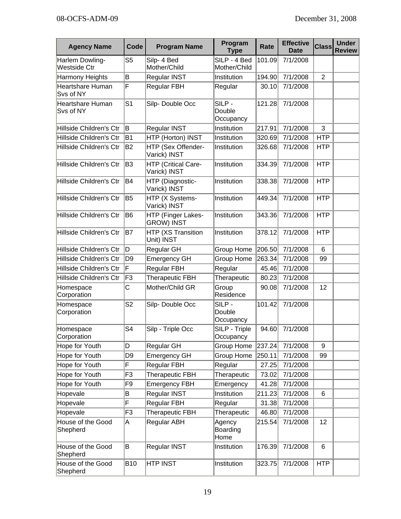| <b>Agency Name</b>                     | Code           | <b>Program Name</b>                     | Program<br><b>Type</b>       | Rate   | <b>Effective</b><br><b>Date</b> | <b>Class</b>   | <b>Under</b><br><b>Review</b> |
|----------------------------------------|----------------|-----------------------------------------|------------------------------|--------|---------------------------------|----------------|-------------------------------|
| Harlem Dowling-<br><b>Westside Ctr</b> | S <sub>5</sub> | Silp- 4 Bed<br>Mother/Child             | SILP - 4 Bed<br>Mother/Child | 101.09 | 7/1/2008                        |                |                               |
| Harmony Heights                        | B              | Regular INST                            | Institution                  | 194.90 | 7/1/2008                        | $\overline{2}$ |                               |
| <b>Heartshare Human</b><br>Svs of NY   | F              | <b>Regular FBH</b>                      | Regular                      | 30.10  | 7/1/2008                        |                |                               |
| <b>Heartshare Human</b><br>Svs of NY   | S <sub>1</sub> | Silp-Double Occ                         | SILP-<br>Double<br>Occupancy | 121.28 | 7/1/2008                        |                |                               |
| Hillside Children's Ctr                | lB.            | <b>Regular INST</b>                     | Institution                  | 217.91 | 7/1/2008                        | 3              |                               |
| Hillside Children's Ctr                | B1             | HTP (Horton) INST                       | Institution                  | 320.69 | 7/1/2008                        | <b>HTP</b>     |                               |
| Hillside Children's Ctr                | B <sub>2</sub> | HTP (Sex Offender-<br>Varick) INST      | Institution                  | 326.68 | 7/1/2008                        | <b>HTP</b>     |                               |
| Hillside Children's Ctr                | B <sub>3</sub> | HTP (Critical Care-<br>Varick) INST     | Institution                  | 334.39 | 7/1/2008                        | <b>HTP</b>     |                               |
| Hillside Children's Ctr                | B4             | HTP (Diagnostic-<br>Varick) INST        | Institution                  | 338.38 | 7/1/2008                        | <b>HTP</b>     |                               |
| Hillside Children's Ctr                | B <sub>5</sub> | HTP (X Systems-<br>Varick) INST         | Institution                  | 449.34 | 7/1/2008                        | <b>HTP</b>     |                               |
| Hillside Children's Ctr                | B <sub>6</sub> | HTP (Finger Lakes-<br><b>GROW) INST</b> | Institution                  | 343.36 | 7/1/2008                        | <b>HTP</b>     |                               |
| Hillside Children's Ctr                | B7             | HTP (XS Transition<br>Unit) INST        | Institution                  | 378.12 | 7/1/2008                        | <b>HTP</b>     |                               |
| Hillside Children's Ctr                | D              | Regular GH                              | Group Home                   | 206.50 | 7/1/2008                        | $6\phantom{1}$ |                               |
| Hillside Children's Ctr                | D <sub>9</sub> | <b>Emergency GH</b>                     | Group Home                   | 263.34 | 7/1/2008                        | 99             |                               |
| Hillside Children's Ctr                | F              | <b>Regular FBH</b>                      | Regular                      | 45.46  | 7/1/2008                        |                |                               |
| Hillside Children's Ctr                | F <sub>3</sub> | Therapeutic FBH                         | Therapeutic                  | 80.23  | 7/1/2008                        |                |                               |
| Homespace<br>Corporation               | С              | Mother/Child GR                         | Group<br>Residence           | 90.08  | 7/1/2008                        | 12             |                               |
| Homespace<br>Corporation               | S <sub>2</sub> | Silp-Double Occ                         | SILP-<br>Double<br>Occupancy | 101.42 | 7/1/2008                        |                |                               |
| Homespace<br>Corporation               | S <sub>4</sub> | Silp - Triple Occ                       | SILP - Triple<br>Occupancy   | 94.60  | 7/1/2008                        |                |                               |
| Hope for Youth                         | D              | Regular GH                              | Group Home                   | 237.24 | 7/1/2008                        | 9              |                               |
| Hope for Youth                         | D <sub>9</sub> | <b>Emergency GH</b>                     | Group Home                   | 250.11 | 7/1/2008                        | 99             |                               |
| Hope for Youth                         | F              | Regular FBH                             | Regular                      | 27.25  | 7/1/2008                        |                |                               |
| Hope for Youth                         | F <sub>3</sub> | Therapeutic FBH                         | Therapeutic                  | 73.02  | 7/1/2008                        |                |                               |
| Hope for Youth                         | F <sub>9</sub> | <b>Emergency FBH</b>                    | Emergency                    | 41.28  | 7/1/2008                        |                |                               |
| Hopevale                               | B              | Regular INST                            | Institution                  | 211.23 | 7/1/2008                        | 6              |                               |
| Hopevale                               | F              | Regular FBH                             | Regular                      | 31.38  | 7/1/2008                        |                |                               |
| Hopevale                               | F <sub>3</sub> | Therapeutic FBH                         | Therapeutic                  | 46.80  | 7/1/2008                        |                |                               |
| House of the Good<br>Shepherd          | A              | Regular ABH                             | Agency<br>Boarding<br>Home   | 215.54 | 7/1/2008                        | 12             |                               |
| House of the Good<br>Shepherd          | B              | Regular INST                            | Institution                  | 176.39 | 7/1/2008                        | 6              |                               |
| House of the Good<br>Shepherd          | <b>B10</b>     | <b>HTP INST</b>                         | Institution                  | 323.75 | 7/1/2008                        | <b>HTP</b>     |                               |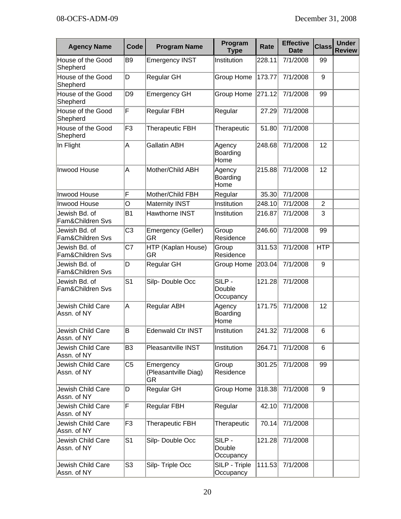| <b>Agency Name</b>                | Code           | <b>Program Name</b>                            | Program<br><b>Type</b>       | Rate   | <b>Effective</b><br><b>Date</b> | <b>Class</b>   | <b>Under</b><br><b>Review</b> |
|-----------------------------------|----------------|------------------------------------------------|------------------------------|--------|---------------------------------|----------------|-------------------------------|
| House of the Good<br>Shepherd     | B <sub>9</sub> | <b>Emergency INST</b>                          | Institution                  | 228.11 | 7/1/2008                        | 99             |                               |
| House of the Good<br>Shepherd     | D              | Regular GH                                     | Group Home                   | 173.77 | 7/1/2008                        | 9              |                               |
| House of the Good<br>Shepherd     | D <sub>9</sub> | <b>Emergency GH</b>                            | Group Home                   | 271.12 | 7/1/2008                        | 99             |                               |
| House of the Good<br>Shepherd     | F              | <b>Regular FBH</b>                             | Regular                      | 27.29  | 7/1/2008                        |                |                               |
| House of the Good<br>Shepherd     | F <sub>3</sub> | <b>Therapeutic FBH</b>                         | Therapeutic                  | 51.80  | 7/1/2008                        |                |                               |
| In Flight                         | A              | <b>Gallatin ABH</b>                            | Agency<br>Boarding<br>Home   | 248.68 | 7/1/2008                        | 12             |                               |
| Inwood House                      | A              | Mother/Child ABH                               | Agency<br>Boarding<br>Home   | 215.88 | 7/1/2008                        | 12             |                               |
| <b>Inwood House</b>               | F              | Mother/Child FBH                               | Regular                      | 35.30  | 7/1/2008                        |                |                               |
| Inwood House                      | O              | <b>Maternity INST</b>                          | Institution                  | 248.10 | 7/1/2008                        | $\overline{2}$ |                               |
| Jewish Bd. of<br>Fam&Children Svs | <b>B1</b>      | Hawthorne INST                                 | Institution                  | 216.87 | 7/1/2008                        | 3              |                               |
| Jewish Bd. of<br>Fam&Children Svs | C <sub>3</sub> | Emergency (Geller)<br><b>GR</b>                | Group<br>Residence           | 246.60 | 7/1/2008                        | 99             |                               |
| Jewish Bd. of<br>Fam&Children Svs | C <sub>7</sub> | HTP (Kaplan House)<br><b>GR</b>                | Group<br>Residence           | 311.53 | 7/1/2008                        | <b>HTP</b>     |                               |
| Jewish Bd. of<br>Fam&Children Svs | D              | <b>Regular GH</b>                              | Group Home                   | 203.04 | 7/1/2008                        | 9              |                               |
| Jewish Bd. of<br>Fam&Children Svs | S <sub>1</sub> | Silp-Double Occ                                | SILP-<br>Double<br>Occupancy | 121.28 | 7/1/2008                        |                |                               |
| Jewish Child Care<br>Assn. of NY  | A              | Regular ABH                                    | Agency<br>Boarding<br>Home   | 171.75 | 7/1/2008                        | 12             |                               |
| Jewish Child Care<br>Assn. of NY  | B              | <b>Edenwald Ctr INST</b>                       | Institution                  | 241.32 | 7/1/2008                        | 6              |                               |
| Jewish Child Care<br>Assn. of NY  | B <sub>3</sub> | Pleasantville INST                             | Institution                  | 264.71 | 7/1/2008                        | 6              |                               |
| Jewish Child Care<br>Assn. of NY  | C <sub>5</sub> | Emergency<br>(Pleasantville Diag)<br><b>GR</b> | Group<br>Residence           | 301.25 | 7/1/2008                        | 99             |                               |
| Jewish Child Care<br>Assn. of NY  | D              | Regular GH                                     | Group Home                   | 318.38 | 7/1/2008                        | 9              |                               |
| Jewish Child Care<br>Assn. of NY  | F              | <b>Regular FBH</b>                             | Regular                      | 42.10  | 7/1/2008                        |                |                               |
| Jewish Child Care<br>Assn. of NY  | F <sub>3</sub> | <b>Therapeutic FBH</b>                         | Therapeutic                  | 70.14  | 7/1/2008                        |                |                               |
| Jewish Child Care<br>Assn. of NY  | S <sub>1</sub> | Silp-Double Occ                                | SILP-<br>Double<br>Occupancy | 121.28 | 7/1/2008                        |                |                               |
| Jewish Child Care<br>Assn. of NY  | S <sub>3</sub> | Silp-Triple Occ                                | SILP - Triple<br>Occupancy   | 111.53 | 7/1/2008                        |                |                               |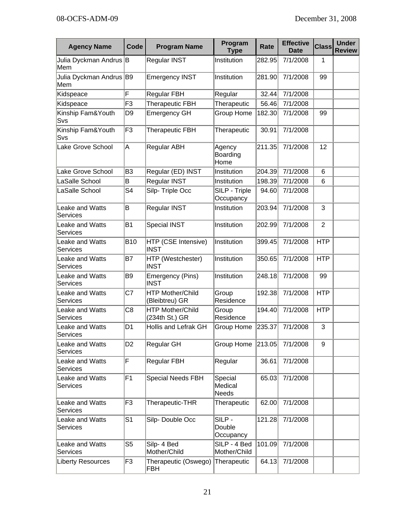| <b>Agency Name</b>                        | Code           | <b>Program Name</b>                       | Program<br><b>Type</b>       | Rate   | <b>Effective</b><br><b>Date</b> | <b>Class</b>   | <b>Under</b><br><b>Review</b> |
|-------------------------------------------|----------------|-------------------------------------------|------------------------------|--------|---------------------------------|----------------|-------------------------------|
| Julia Dyckman Andrus B<br>Mem             |                | <b>Regular INST</b>                       | Institution                  | 282.95 | 7/1/2008                        | 1              |                               |
| Julia Dyckman Andrus B9<br>Mem            |                | <b>Emergency INST</b>                     | Institution                  | 281.90 | 7/1/2008                        | 99             |                               |
| Kidspeace                                 | F              | Regular FBH                               | Regular                      | 32.44  | 7/1/2008                        |                |                               |
| Kidspeace                                 | F <sub>3</sub> | Therapeutic FBH                           | Therapeutic                  | 56.46  | 7/1/2008                        |                |                               |
| Kinship Fam&Youth<br>Svs                  | D <sub>9</sub> | <b>Emergency GH</b>                       | Group Home                   | 182.30 | 7/1/2008                        | 99             |                               |
| Kinship Fam&Youth<br>Svs                  | F <sub>3</sub> | <b>Therapeutic FBH</b>                    | Therapeutic                  | 30.91  | 7/1/2008                        |                |                               |
| Lake Grove School                         | A              | Regular ABH                               | Agency<br>Boarding<br>Home   | 211.35 | 7/1/2008                        | 12             |                               |
| Lake Grove School                         | B <sub>3</sub> | Regular (ED) INST                         | Institution                  | 204.39 | 7/1/2008                        | 6              |                               |
| LaSalle School                            | B              | <b>Regular INST</b>                       | Institution                  | 198.39 | 7/1/2008                        | 6              |                               |
| LaSalle School                            | S4             | Silp-Triple Occ                           | SILP - Triple<br>Occupancy   | 94.60  | 7/1/2008                        |                |                               |
| Leake and Watts<br><b>Services</b>        | B              | Regular INST                              | Institution                  | 203.94 | 7/1/2008                        | 3              |                               |
| <b>Leake and Watts</b><br><b>Services</b> | <b>B1</b>      | <b>Special INST</b>                       | Institution                  | 202.99 | 7/1/2008                        | $\overline{2}$ |                               |
| Leake and Watts<br>Services               | <b>B10</b>     | HTP (CSE Intensive)<br><b>INST</b>        | Institution                  | 399.45 | 7/1/2008                        | <b>HTP</b>     |                               |
| Leake and Watts<br><b>Services</b>        | B7             | HTP (Westchester)<br><b>INST</b>          | Institution                  | 350.65 | 7/1/2008                        | <b>HTP</b>     |                               |
| Leake and Watts<br><b>Services</b>        | B <sub>9</sub> | Emergency (Pins)<br><b>INST</b>           | Institution                  | 248.18 | 7/1/2008                        | 99             |                               |
| Leake and Watts<br><b>Services</b>        | C7             | <b>HTP Mother/Child</b><br>(Bleibtreu) GR | Group<br>Residence           | 192.38 | 7/1/2008                        | <b>HTP</b>     |                               |
| Leake and Watts<br><b>Services</b>        | C <sub>8</sub> | <b>HTP Mother/Child</b><br>(234th St.) GR | Group<br>Residence           | 194.40 | 7/1/2008                        | <b>HTP</b>     |                               |
| Leake and Watts<br><b>Services</b>        | D <sub>1</sub> | <b>Hollis and Lefrak GH</b>               | Group Home                   | 235.37 | 7/1/2008                        | 3              |                               |
| Leake and Watts<br><b>Services</b>        | D <sub>2</sub> | Regular GH                                | Group Home                   | 213.05 | 7/1/2008                        | 9              |                               |
| Leake and Watts<br><b>Services</b>        | F              | Regular FBH                               | Regular                      | 36.61  | 7/1/2008                        |                |                               |
| Leake and Watts<br>Services               | F <sub>1</sub> | <b>Special Needs FBH</b>                  | Special<br>Medical<br>Needs  | 65.03  | 7/1/2008                        |                |                               |
| Leake and Watts<br><b>Services</b>        | F <sub>3</sub> | Therapeutic-THR                           | Therapeutic                  | 62.00  | 7/1/2008                        |                |                               |
| Leake and Watts<br><b>Services</b>        | S <sub>1</sub> | Silp-Double Occ                           | SILP-<br>Double<br>Occupancy | 121.28 | 7/1/2008                        |                |                               |
| Leake and Watts<br><b>Services</b>        | S <sub>5</sub> | Silp- 4 Bed<br>Mother/Child               | SILP - 4 Bed<br>Mother/Child | 101.09 | 7/1/2008                        |                |                               |
| <b>Liberty Resources</b>                  | F <sub>3</sub> | Therapeutic (Oswego)<br>FBH               | Therapeutic                  | 64.13  | 7/1/2008                        |                |                               |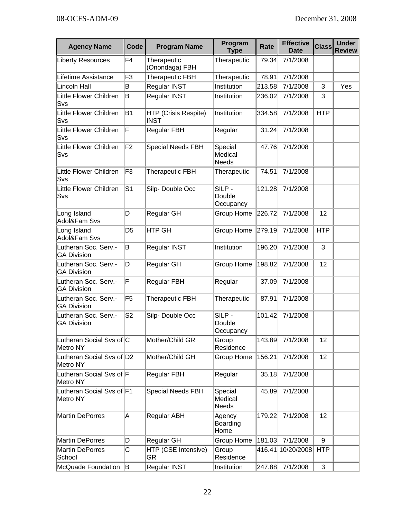| <b>Agency Name</b>                          | Code           | <b>Program Name</b>                 | Program<br><b>Type</b>             | Rate   | <b>Effective</b><br><b>Date</b> | <b>Class</b> | <b>Under</b><br><b>Review</b> |
|---------------------------------------------|----------------|-------------------------------------|------------------------------------|--------|---------------------------------|--------------|-------------------------------|
| <b>Liberty Resources</b>                    | F <sub>4</sub> | Therapeutic<br>(Onondaga) FBH       | Therapeutic                        | 79.34  | 7/1/2008                        |              |                               |
| Lifetime Assistance                         | F <sub>3</sub> | Therapeutic FBH                     | Therapeutic                        | 78.91  | 7/1/2008                        |              |                               |
| Lincoln Hall                                | B              | <b>Regular INST</b>                 | Institution                        | 213.58 | 7/1/2008                        | 3            | Yes                           |
| Little Flower Children<br>Svs               | B              | Regular INST                        | Institution                        | 236.02 | 7/1/2008                        | 3            |                               |
| Little Flower Children<br>Svs               | <b>B1</b>      | HTP (Crisis Respite)<br><b>INST</b> | Institution                        | 334.58 | 7/1/2008                        | <b>HTP</b>   |                               |
| Little Flower Children<br>Svs               | F              | <b>Regular FBH</b>                  | Regular                            | 31.24  | 7/1/2008                        |              |                               |
| Little Flower Children<br>Svs               | F <sub>2</sub> | <b>Special Needs FBH</b>            | Special<br>Medical<br><b>Needs</b> | 47.76  | 7/1/2008                        |              |                               |
| Little Flower Children<br>Svs               | F <sub>3</sub> | Therapeutic FBH                     | Therapeutic                        | 74.51  | 7/1/2008                        |              |                               |
| Little Flower Children<br>Svs               | S <sub>1</sub> | Silp-Double Occ                     | SILP-<br>Double<br>Occupancy       | 121.28 | 7/1/2008                        |              |                               |
| Long Island<br>Adol&Fam Svs                 | D              | Regular GH                          | Group Home                         | 226.72 | 7/1/2008                        | 12           |                               |
| Long Island<br>Adol&Fam Svs                 | D <sub>5</sub> | <b>HTP GH</b>                       | Group Home                         | 279.19 | 7/1/2008                        | <b>HTP</b>   |                               |
| Lutheran Soc. Serv.-<br><b>GA Division</b>  | B              | Regular INST                        | Institution                        | 196.20 | 7/1/2008                        | 3            |                               |
| Lutheran Soc. Serv.-<br><b>GA Division</b>  | D              | Regular GH                          | Group Home                         | 198.82 | 7/1/2008                        | 12           |                               |
| Lutheran Soc. Serv.-<br><b>GA Division</b>  | F              | <b>Regular FBH</b>                  | Regular                            | 37.09  | 7/1/2008                        |              |                               |
| Lutheran Soc. Serv.-<br><b>GA Division</b>  | F <sub>5</sub> | <b>Therapeutic FBH</b>              | Therapeutic                        | 87.91  | 7/1/2008                        |              |                               |
| Lutheran Soc. Serv .-<br><b>GA Division</b> | S <sub>2</sub> | Silp-Double Occ                     | SILP-<br>Double<br>Occupancy       | 101.42 | 7/1/2008                        |              |                               |
| Lutheran Social Svs of C<br>Metro NY        |                | Mother/Child GR                     | Group<br>Residence                 | 143.89 | 7/1/2008                        | 12           |                               |
| Lutheran Social Svs of D2<br>Metro NY       |                | Mother/Child GH                     | Group Home                         | 156.21 | 7/1/2008                        | 12           |                               |
| Lutheran Social Svs of F<br>Metro NY        |                | <b>Regular FBH</b>                  | Regular                            | 35.18  | 7/1/2008                        |              |                               |
| Lutheran Social Svs of F1<br>Metro NY       |                | Special Needs FBH                   | Special<br>Medical<br><b>Needs</b> | 45.89  | 7/1/2008                        |              |                               |
| <b>Martin DePorres</b>                      | A              | Regular ABH                         | Agency<br>Boarding<br>Home         | 179.22 | 7/1/2008                        | 12           |                               |
| <b>Martin DePorres</b>                      | D              | Regular GH                          | Group Home                         | 181.03 | 7/1/2008                        | 9            |                               |
| <b>Martin DePorres</b>                      | C              | HTP (CSE Intensive)                 | Group                              |        | 416.41 10/20/2008               | <b>HTP</b>   |                               |
| School                                      |                | GR                                  | Residence                          |        |                                 |              |                               |
| McQuade Foundation                          | B              | Regular INST                        | Institution                        | 247.88 | 7/1/2008                        | 3            |                               |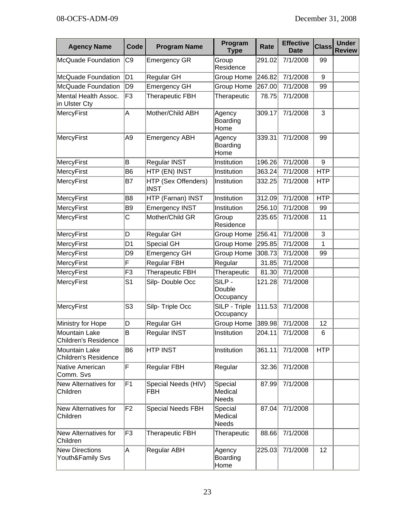| <b>Agency Name</b>                           | Code                    | <b>Program Name</b>                | Program<br><b>Type</b>             | Rate   | <b>Effective</b><br><b>Date</b> | <b>Class</b> | <b>Under</b><br><b>Review</b> |
|----------------------------------------------|-------------------------|------------------------------------|------------------------------------|--------|---------------------------------|--------------|-------------------------------|
| <b>McQuade Foundation</b>                    | C <sub>9</sub>          | <b>Emergency GR</b>                | Group<br>Residence                 | 291.02 | 7/1/2008                        | 99           |                               |
| McQuade Foundation                           | D <sub>1</sub>          | Regular GH                         | Group Home                         | 246.82 | 7/1/2008                        | 9            |                               |
| <b>McQuade Foundation</b>                    | D <sub>9</sub>          | <b>Emergency GH</b>                | Group Home                         | 267.00 | 7/1/2008                        | 99           |                               |
| Mental Health Assoc.<br>in Ulster Cty        | F <sub>3</sub>          | <b>Therapeutic FBH</b>             | Therapeutic                        | 78.75  | 7/1/2008                        |              |                               |
| MercyFirst                                   | Α                       | Mother/Child ABH                   | Agency<br>Boarding<br>Home         | 309.17 | 7/1/2008                        | 3            |                               |
| MercyFirst                                   | A9                      | <b>Emergency ABH</b>               | Agency<br>Boarding<br>Home         | 339.31 | 7/1/2008                        | 99           |                               |
| MercyFirst                                   | B                       | Regular INST                       | Institution                        | 196.26 | 7/1/2008                        | 9            |                               |
| MercyFirst                                   | B <sub>6</sub>          | HTP (EN) INST                      | Institution                        | 363.24 | 7/1/2008                        | <b>HTP</b>   |                               |
| MercyFirst                                   | B7                      | HTP (Sex Offenders)<br><b>INST</b> | Institution                        | 332.25 | 7/1/2008                        | <b>HTP</b>   |                               |
| MercyFirst                                   | B <sub>8</sub>          | HTP (Farnan) INST                  | Institution                        | 312.09 | 7/1/2008                        | <b>HTP</b>   |                               |
| MercyFirst                                   | B <sub>9</sub>          | <b>Emergency INST</b>              | Institution                        | 256.10 | 7/1/2008                        | 99           |                               |
| MercyFirst                                   | C                       | Mother/Child GR                    | Group<br>Residence                 | 235.65 | 7/1/2008                        | 11           |                               |
| MercyFirst                                   | D                       | Regular GH                         | Group Home                         | 256.41 | 7/1/2008                        | 3            |                               |
| MercyFirst                                   | D <sub>1</sub>          | <b>Special GH</b>                  | Group Home                         | 295.85 | 7/1/2008                        | 1            |                               |
| MercyFirst                                   | D9                      | <b>Emergency GH</b>                | Group Home                         | 308.73 | 7/1/2008                        | 99           |                               |
| MercyFirst                                   | F                       | Regular FBH                        | Regular                            | 31.85  | 7/1/2008                        |              |                               |
| MercyFirst                                   | F <sub>3</sub>          | Therapeutic FBH                    | Therapeutic                        | 81.30  | 7/1/2008                        |              |                               |
| <b>MercyFirst</b>                            | S <sub>1</sub>          | Silp-Double Occ                    | SILP-<br>Double<br>Occupancy       | 121.28 | 7/1/2008                        |              |                               |
| <b>MercyFirst</b>                            | S3                      | Silp-Triple Occ                    | SILP - Triple<br>Occupancy         | 111.53 | 7/1/2008                        |              |                               |
| Ministry for Hope                            | D                       | Regular GH                         | Group Home                         | 389.98 | 7/1/2008                        | 12           |                               |
| Mountain Lake<br><b>Children's Residence</b> | $\overline{\mathsf{B}}$ | Regular INST                       | Institution                        | 204.11 | 7/1/2008                        | 6            |                               |
| Mountain Lake<br><b>Children's Residence</b> | B <sub>6</sub>          | <b>HTP INST</b>                    | Institution                        | 361.11 | 7/1/2008                        | <b>HTP</b>   |                               |
| Native American<br>Comm. Svs                 | F                       | Regular FBH                        | Regular                            | 32.36  | 7/1/2008                        |              |                               |
| New Alternatives for<br>Children             | F <sub>1</sub>          | Special Needs (HIV)<br>FBH         | Special<br>Medical<br><b>Needs</b> | 87.99  | 7/1/2008                        |              |                               |
| New Alternatives for<br>Children             | F <sub>2</sub>          | <b>Special Needs FBH</b>           | Special<br>Medical<br>Needs        | 87.04  | 7/1/2008                        |              |                               |
| New Alternatives for<br>Children             | F <sub>3</sub>          | <b>Therapeutic FBH</b>             | Therapeutic                        | 88.66  | 7/1/2008                        |              |                               |
| <b>New Directions</b><br>Youth&Family Svs    | A                       | Regular ABH                        | Agency<br>Boarding<br>Home         | 225.03 | 7/1/2008                        | 12           |                               |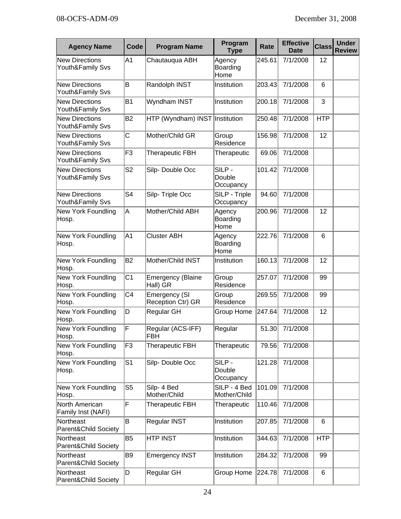| <b>Agency Name</b>                        | Code           | <b>Program Name</b>                  | Program<br><b>Type</b>       | Rate   | <b>Effective</b><br><b>Date</b> | <b>Class</b> | <b>Under</b><br><b>Review</b> |
|-------------------------------------------|----------------|--------------------------------------|------------------------------|--------|---------------------------------|--------------|-------------------------------|
| <b>New Directions</b><br>Youth&Family Svs | A <sub>1</sub> | Chautauqua ABH                       | Agency<br>Boarding<br>Home   | 245.61 | 7/1/2008                        | 12           |                               |
| <b>New Directions</b><br>Youth&Family Svs | B              | Randolph INST                        | Institution                  | 203.43 | 7/1/2008                        | 6            |                               |
| <b>New Directions</b><br>Youth&Family Svs | <b>B1</b>      | Wyndham INST                         | Institution                  | 200.18 | 7/1/2008                        | 3            |                               |
| <b>New Directions</b><br>Youth&Family Svs | <b>B2</b>      | HTP (Wyndham) INST                   | Institution                  | 250.48 | 7/1/2008                        | <b>HTP</b>   |                               |
| <b>New Directions</b><br>Youth&Family Svs | C              | Mother/Child GR                      | Group<br>Residence           | 156.98 | 7/1/2008                        | 12           |                               |
| <b>New Directions</b><br>Youth&Family Svs | F <sub>3</sub> | <b>Therapeutic FBH</b>               | Therapeutic                  | 69.06  | 7/1/2008                        |              |                               |
| <b>New Directions</b><br>Youth&Family Svs | S <sub>2</sub> | Silp-Double Occ                      | SILP-<br>Double<br>Occupancy | 101.42 | 7/1/2008                        |              |                               |
| <b>New Directions</b><br>Youth&Family Svs | S <sub>4</sub> | Silp- Triple Occ                     | SILP - Triple<br>Occupancy   | 94.60  | 7/1/2008                        |              |                               |
| New York Foundling<br>Hosp.               | Α              | Mother/Child ABH                     | Agency<br>Boarding<br>Home   | 200.96 | 7/1/2008                        | 12           |                               |
| New York Foundling<br>Hosp.               | A <sub>1</sub> | <b>Cluster ABH</b>                   | Agency<br>Boarding<br>Home   | 222.76 | 7/1/2008                        | 6            |                               |
| New York Foundling<br>Hosp.               | B <sub>2</sub> | Mother/Child INST                    | Institution                  | 160.13 | 7/1/2008                        | 12           |                               |
| New York Foundling<br>Hosp.               | C <sub>1</sub> | <b>Emergency (Blaine</b><br>Hall) GR | Group<br>Residence           | 257.07 | 7/1/2008                        | 99           |                               |
| New York Foundling<br>Hosp.               | C <sub>4</sub> | Emergency (SI<br>Reception Ctr) GR   | Group<br>Residence           | 269.55 | 7/1/2008                        | 99           |                               |
| New York Foundling<br>Hosp.               | D              | Regular GH                           | Group Home                   | 247.64 | 7/1/2008                        | 12           |                               |
| <b>New York Foundling</b><br>Hosp.        | F              | Regular (ACS-IFF)<br><b>FBH</b>      | Regular                      | 51.30  | 7/1/2008                        |              |                               |
| New York Foundling<br>Hosp.               | F <sub>3</sub> | <b>Therapeutic FBH</b>               | Therapeutic                  | 79.56  | 7/1/2008                        |              |                               |
| New York Foundling<br>Hosp.               | S <sub>1</sub> | Silp-Double Occ                      | SILP-<br>Double<br>Occupancy | 121.28 | 7/1/2008                        |              |                               |
| New York Foundling<br>Hosp.               | S <sub>5</sub> | Silp- 4 Bed<br>Mother/Child          | SILP - 4 Bed<br>Mother/Child | 101.09 | 7/1/2008                        |              |                               |
| North American<br>Family Inst (NAFI)      | F              | Therapeutic FBH                      | Therapeutic                  | 110.46 | 7/1/2008                        |              |                               |
| Northeast<br>Parent&Child Society         | B              | Regular INST                         | Institution                  | 207.85 | 7/1/2008                        | 6            |                               |
| Northeast<br>Parent&Child Society         | B <sub>5</sub> | <b>HTP INST</b>                      | Institution                  | 344.63 | 7/1/2008                        | <b>HTP</b>   |                               |
| Northeast<br>Parent&Child Society         | B <sub>9</sub> | <b>Emergency INST</b>                | Institution                  | 284.32 | 7/1/2008                        | 99           |                               |
| Northeast<br>Parent&Child Society         | D              | Regular GH                           | Group Home                   | 224.78 | 7/1/2008                        | 6            |                               |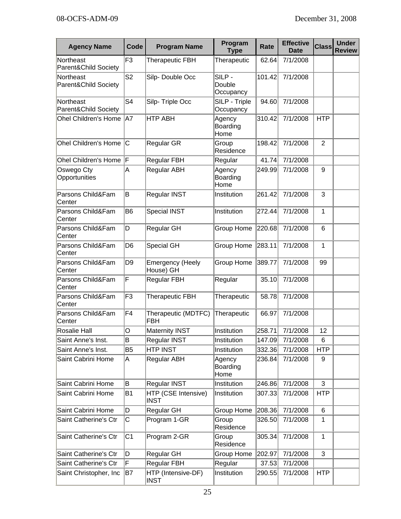| <b>Agency Name</b>                | Code           | <b>Program Name</b>                | Program<br><b>Type</b>                 | Rate   | <b>Effective</b><br><b>Date</b> | <b>Class</b>   | <b>Under</b><br><b>Review</b> |
|-----------------------------------|----------------|------------------------------------|----------------------------------------|--------|---------------------------------|----------------|-------------------------------|
| Northeast<br>Parent&Child Society | F <sub>3</sub> | <b>Therapeutic FBH</b>             | Therapeutic                            | 62.64  | 7/1/2008                        |                |                               |
| Northeast<br>Parent&Child Society | S <sub>2</sub> | Silp-Double Occ                    | SILP-<br>101.42<br>Double<br>Occupancy |        | 7/1/2008                        |                |                               |
| Northeast<br>Parent&Child Society | S <sub>4</sub> | Silp-Triple Occ                    | SILP - Triple<br>Occupancy             | 94.60  | 7/1/2008                        |                |                               |
| <b>Ohel Children's Home</b>       | A7             | <b>HTP ABH</b>                     | Agency<br>Boarding<br>Home             | 310.42 | 7/1/2008                        | <b>HTP</b>     |                               |
| Ohel Children's Home              | lc.            | Regular GR                         | Group<br>Residence                     | 198.42 | 7/1/2008                        | $\overline{2}$ |                               |
| <b>Ohel Children's Home</b>       | lF.            | Regular FBH                        | Regular                                | 41.74  | 7/1/2008                        |                |                               |
| Oswego Cty<br>Opportunities       | Α              | <b>Regular ABH</b>                 | Agency<br>Boarding<br>Home             | 249.99 | 7/1/2008                        | 9              |                               |
| Parsons Child&Fam<br>Center       | B              | Regular INST                       | Institution                            | 261.42 | 7/1/2008                        | 3              |                               |
| Parsons Child&Fam<br>Center       | B <sub>6</sub> | <b>Special INST</b>                | Institution                            | 272.44 | 7/1/2008                        | 1              |                               |
| Parsons Child&Fam<br>Center       | D              | Regular GH                         | Group Home                             | 220.68 | 7/1/2008                        | 6              |                               |
| Parsons Child&Fam<br>Center       | D <sub>6</sub> | Special GH                         | Group Home                             | 283.11 | 7/1/2008                        | $\mathbf{1}$   |                               |
| Parsons Child&Fam<br>Center       | D <sub>9</sub> | Emergency (Heely<br>House) GH      | Group Home                             | 389.77 | 7/1/2008                        | 99             |                               |
| Parsons Child&Fam<br>Center       | F              | Regular FBH                        | Regular                                | 35.10  | 7/1/2008                        |                |                               |
| Parsons Child&Fam<br>Center       | F <sub>3</sub> | <b>Therapeutic FBH</b>             | Therapeutic                            | 58.78  | 7/1/2008                        |                |                               |
| Parsons Child&Fam<br>Center       | F <sub>4</sub> | Therapeutic (MDTFC)<br><b>FBH</b>  | Therapeutic                            | 66.97  | 7/1/2008                        |                |                               |
| Rosalie Hall                      | O              | <b>Maternity INST</b>              | Institution                            | 258.71 | 7/1/2008                        | 12             |                               |
| Saint Anne's Inst.                | B              | Regular INST                       | Institution                            | 147.09 | 7/1/2008                        | 6              |                               |
| Saint Anne's Inst.                | B <sub>5</sub> | HTP INST                           | Institution                            | 332.36 | 7/1/2008                        | <b>HTP</b>     |                               |
| Saint Cabrini Home                | A              | Regular ABH                        | Agency<br>Boarding<br>Home             | 236.84 | 7/1/2008                        | 9              |                               |
| Saint Cabrini Home                | B              | Regular INST                       | Institution                            | 246.86 | 7/1/2008                        | 3              |                               |
| Saint Cabrini Home                | B <sub>1</sub> | HTP (CSE Intensive)<br><b>INST</b> | Institution                            | 307.33 | 7/1/2008                        | <b>HTP</b>     |                               |
| Saint Cabrini Home                | D              | Regular GH                         | Group Home                             | 208.36 | 7/1/2008                        | 6              |                               |
| Saint Catherine's Ctr             | С              | Program 1-GR                       | Group<br>Residence                     | 326.50 | 7/1/2008                        | $\mathbf{1}$   |                               |
| Saint Catherine's Ctr             | C <sub>1</sub> | Program 2-GR                       | Group<br>Residence                     | 305.34 | 7/1/2008                        | 1              |                               |
| Saint Catherine's Ctr             | D              | Regular GH                         | Group Home                             | 202.97 | 7/1/2008                        | 3              |                               |
| Saint Catherine's Ctr             | F              | Regular FBH                        | Regular                                | 37.53  | 7/1/2008                        |                |                               |
| Saint Christopher, Inc            | B7             | HTP (Intensive-DF)<br><b>INST</b>  | Institution                            | 290.55 | 7/1/2008                        | <b>HTP</b>     |                               |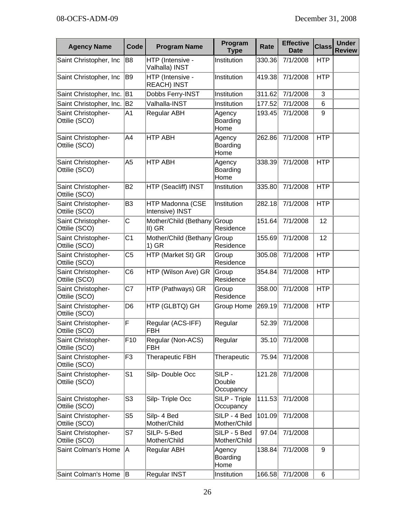| <b>Agency Name</b>                  | Code            | <b>Program Name</b>                    | Program<br><b>Type</b>       | Rate   | <b>Effective</b><br><b>Date</b> | <b>Class</b> | <b>Under</b><br><b>Review</b> |
|-------------------------------------|-----------------|----------------------------------------|------------------------------|--------|---------------------------------|--------------|-------------------------------|
| Saint Christopher, Inc              | B <sub>8</sub>  | HTP (Intensive -<br>Valhalla) INST     | Institution                  | 330.36 | 7/1/2008                        | <b>HTP</b>   |                               |
| Saint Christopher, Inc              | B <sub>9</sub>  | HTP (Intensive -<br><b>REACH) INST</b> | Institution                  | 419.38 | 7/1/2008                        | <b>HTP</b>   |                               |
| Saint Christopher, Inc.             | B1              | Dobbs Ferry-INST                       | Institution                  | 311.62 | 7/1/2008                        | 3            |                               |
| Saint Christopher, Inc.             | <b>B2</b>       | Valhalla-INST                          | Institution                  | 177.52 | 7/1/2008                        | 6            |                               |
| Saint Christopher-<br>Ottilie (SCO) | A <sub>1</sub>  | Regular ABH                            | Agency<br>Boarding<br>Home   | 193.45 | 7/1/2008                        | 9            |                               |
| Saint Christopher-<br>Ottilie (SCO) | A4              | <b>HTP ABH</b>                         | Agency<br>Boarding<br>Home   | 262.86 | 7/1/2008                        | <b>HTP</b>   |                               |
| Saint Christopher-<br>Ottilie (SCO) | A <sub>5</sub>  | <b>HTP ABH</b>                         | Agency<br>Boarding<br>Home   | 338.39 | 7/1/2008                        | <b>HTP</b>   |                               |
| Saint Christopher-<br>Ottilie (SCO) | <b>B2</b>       | <b>HTP (Seacliff) INST</b>             | Institution                  | 335.80 | 7/1/2008                        | <b>HTP</b>   |                               |
| Saint Christopher-<br>Ottilie (SCO) | B <sub>3</sub>  | HTP Madonna (CSE<br>Intensive) INST    | Institution                  | 282.18 | 7/1/2008                        | <b>HTP</b>   |                               |
| Saint Christopher-<br>Ottilie (SCO) | C               | Mother/Child (Bethany<br>II) GR        | Group<br>Residence           | 151.64 | 7/1/2008                        | 12           |                               |
| Saint Christopher-<br>Ottilie (SCO) | C <sub>1</sub>  | Mother/Child (Bethany<br>$1)$ GR       | Group<br>Residence           | 155.69 | 7/1/2008                        | 12           |                               |
| Saint Christopher-<br>Ottilie (SCO) | C <sub>5</sub>  | HTP (Market St) GR                     | Group<br>Residence           | 305.08 | 7/1/2008                        | <b>HTP</b>   |                               |
| Saint Christopher-<br>Ottilie (SCO) | C <sub>6</sub>  | HTP (Wilson Ave) GR                    | Group<br>Residence           | 354.84 | 7/1/2008                        | <b>HTP</b>   |                               |
| Saint Christopher-<br>Ottilie (SCO) | C7              | HTP (Pathways) GR                      | Group<br>Residence           | 358.00 | 7/1/2008                        | <b>HTP</b>   |                               |
| Saint Christopher-<br>Ottilie (SCO) | D <sub>6</sub>  | HTP (GLBTQ) GH                         | Group Home                   | 269.19 | 7/1/2008                        | <b>HTP</b>   |                               |
| Saint Christopher-<br>Ottilie (SCO) | F               | Regular (ACS-IFF)<br><b>FBH</b>        | Regular                      | 52.39  | 7/1/2008                        |              |                               |
| Saint Christopher-<br>Ottilie (SCO) | F <sub>10</sub> | Regular (Non-ACS)<br>FBH               | Regular                      | 35.10  | 7/1/2008                        |              |                               |
| Saint Christopher-<br>Ottilie (SCO) | F <sub>3</sub>  | Therapeutic FBH                        | Therapeutic                  | 75.94  | 7/1/2008                        |              |                               |
| Saint Christopher-<br>Ottilie (SCO) | S <sub>1</sub>  | Silp-Double Occ                        | SILP-<br>Double<br>Occupancy | 121.28 | 7/1/2008                        |              |                               |
| Saint Christopher-<br>Ottilie (SCO) | S <sub>3</sub>  | Silp-Triple Occ                        | SILP - Triple<br>Occupancy   | 111.53 | 7/1/2008                        |              |                               |
| Saint Christopher-<br>Ottilie (SCO) | S <sub>5</sub>  | Silp- 4 Bed<br>Mother/Child            | SILP - 4 Bed<br>Mother/Child | 101.09 | 7/1/2008                        |              |                               |
| Saint Christopher-<br>Ottilie (SCO) | S7              | SILP-5-Bed<br>Mother/Child             | SILP - 5 Bed<br>Mother/Child | 97.04  | 7/1/2008                        |              |                               |
| Saint Colman's Home                 | A               | Regular ABH                            | Agency<br>Boarding<br>Home   | 138.84 | 7/1/2008                        | 9            |                               |
| Saint Colman's Home                 | B.              | Regular INST                           | Institution                  | 166.58 | 7/1/2008                        | 6            |                               |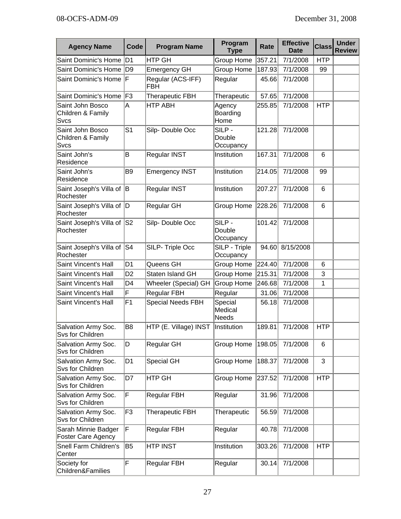| <b>Agency Name</b>                                   | Code           | <b>Program Name</b>             | Program<br><b>Type</b>       | Rate   | <b>Effective</b><br><b>Date</b> | <b>Class</b> | <b>Under</b><br><b>Review</b> |
|------------------------------------------------------|----------------|---------------------------------|------------------------------|--------|---------------------------------|--------------|-------------------------------|
| Saint Dominic's Home                                 | D <sub>1</sub> | <b>HTP GH</b>                   | Group Home                   | 357.21 | 7/1/2008                        | <b>HTP</b>   |                               |
| Saint Dominic's Home                                 | D9             | <b>Emergency GH</b>             | Group Home                   | 187.93 | 7/1/2008                        | 99           |                               |
| Saint Dominic's Home F                               |                | Regular (ACS-IFF)<br><b>FBH</b> | Regular                      | 45.66  | 7/1/2008                        |              |                               |
| Saint Dominic's Home                                 | F3             | <b>Therapeutic FBH</b>          | Therapeutic                  | 57.65  | 7/1/2008                        |              |                               |
| Saint John Bosco<br>Children & Family<br><b>Svcs</b> | A              | HTP ABH                         | Agency<br>Boarding<br>Home   | 255.85 | 7/1/2008                        | <b>HTP</b>   |                               |
| Saint John Bosco<br>Children & Family<br><b>Svcs</b> | S <sub>1</sub> | Silp-Double Occ                 | SILP-<br>Double<br>Occupancy | 121.28 | 7/1/2008                        |              |                               |
| Saint John's<br>Residence                            | B              | Regular INST                    | Institution                  | 167.31 | 7/1/2008                        | 6            |                               |
| Saint John's<br>Residence                            | B <sub>9</sub> | <b>Emergency INST</b>           | Institution                  | 214.05 | 7/1/2008                        | 99           |                               |
| Saint Joseph's Villa of<br>Rochester                 | lВ.            | <b>Regular INST</b>             | Institution                  | 207.27 | 7/1/2008                        | 6            |                               |
| Saint Joseph's Villa of<br>Rochester                 | ID.            | <b>Regular GH</b>               | Group Home                   | 228.26 | 7/1/2008                        | 6            |                               |
| Saint Joseph's Villa of<br>Rochester                 | lS2            | Silp-Double Occ                 | SILP-<br>Double<br>Occupancy | 101.42 | 7/1/2008                        |              |                               |
| Saint Joseph's Villa of<br>Rochester                 | lS4            | SILP- Triple Occ                | SILP - Triple<br>Occupancy   | 94.60  | 8/15/2008                       |              |                               |
| Saint Vincent's Hall                                 | D <sub>1</sub> | Queens GH                       | Group Home                   | 224.40 | 7/1/2008                        | 6            |                               |
| Saint Vincent's Hall                                 | D <sub>2</sub> | Staten Island GH                | Group Home                   | 215.31 | 7/1/2008                        | 3            |                               |
| Saint Vincent's Hall                                 | D <sub>4</sub> | Wheeler (Special) GH            | Group Home                   | 246.68 | 7/1/2008                        | 1            |                               |
| Saint Vincent's Hall                                 | F              | <b>Regular FBH</b>              | Regular                      | 31.06  | 7/1/2008                        |              |                               |
| Saint Vincent's Hall                                 | F1             | <b>Special Needs FBH</b>        | Special<br>Medical<br>Needs  | 56.18  | 7/1/2008                        |              |                               |
| Salvation Army Soc.<br>Svs for Children              | B <sub>8</sub> | HTP (E. Village) INST           | Institution                  | 189.81 | 7/1/2008                        | <b>HTP</b>   |                               |
| Salvation Army Soc.<br>Svs for Children              | D              | Regular GH                      | Group Home                   | 198.05 | 7/1/2008                        | 6            |                               |
| Salvation Army Soc.<br>Svs for Children              | D <sub>1</sub> | Special GH                      | Group Home                   | 188.37 | 7/1/2008                        | 3            |                               |
| Salvation Army Soc.<br>Svs for Children              | D7             | HTP GH                          | Group Home                   | 237.52 | 7/1/2008                        | <b>HTP</b>   |                               |
| Salvation Army Soc.<br>Svs for Children              | F              | <b>Regular FBH</b>              | Regular                      | 31.96  | 7/1/2008                        |              |                               |
| Salvation Army Soc.<br>Svs for Children              | F <sub>3</sub> | <b>Therapeutic FBH</b>          | Therapeutic                  | 56.59  | 7/1/2008                        |              |                               |
| Sarah Minnie Badger<br><b>Foster Care Agency</b>     | F              | <b>Regular FBH</b>              | Regular                      | 40.78  | 7/1/2008                        |              |                               |
| Snell Farm Children's<br>Center                      | B <sub>5</sub> | <b>HTP INST</b>                 | Institution                  | 303.26 | 7/1/2008                        | <b>HTP</b>   |                               |
| Society for<br>Children&Families                     | F              | Regular FBH                     | Regular                      | 30.14  | 7/1/2008                        |              |                               |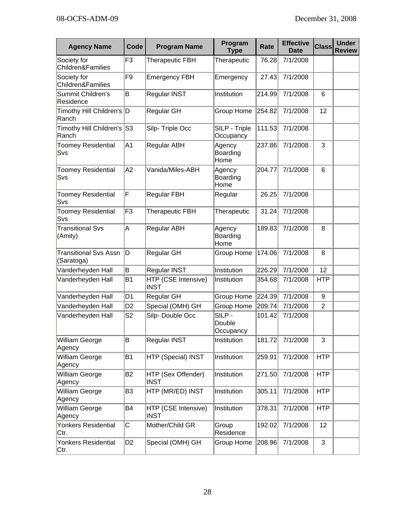| <b>Agency Name</b>                         | Code           | <b>Program Name</b>                | Program<br><b>Type</b>       | Rate   | <b>Effective</b><br><b>Date</b> | <b>Class</b>   | <b>Under</b><br><b>Review</b> |
|--------------------------------------------|----------------|------------------------------------|------------------------------|--------|---------------------------------|----------------|-------------------------------|
| Society for<br>Children&Families           | F <sub>3</sub> | Therapeutic FBH                    | Therapeutic                  | 76.28  | 7/1/2008                        |                |                               |
| Society for<br>Children&Families           | F <sub>9</sub> | Emergency FBH                      | Emergency                    | 27.43  | 7/1/2008                        |                |                               |
| Summit Children's<br>Residence             | B              | <b>Regular INST</b>                | Institution                  | 214.99 | 7/1/2008                        | 6              |                               |
| Timothy Hill Children's D<br>Ranch         |                | Regular GH                         | Group Home                   | 254.82 | 7/1/2008                        | 12             |                               |
| Timothy Hill Children's S3<br>Ranch        |                | Silp-Triple Occ                    | SILP - Triple<br>Occupancy   | 111.53 | 7/1/2008                        |                |                               |
| <b>Toomey Residential</b><br>Svs           | A1             | Regular ABH                        | Agency<br>Boarding<br>Home   | 237.86 | 7/1/2008                        | 3              |                               |
| <b>Toomey Residential</b><br>Svs           | A2             | Vanida/Miles-ABH                   | Agency<br>Boarding<br>Home   | 204.77 | 7/1/2008                        | 6              |                               |
| <b>Toomey Residential</b><br>Svs           | F              | <b>Regular FBH</b>                 | Regular                      | 26.25  | 7/1/2008                        |                |                               |
| <b>Toomey Residential</b><br>Svs           | F <sub>3</sub> | Therapeutic FBH                    | Therapeutic                  | 31.24  | 7/1/2008                        |                |                               |
| <b>Transitional Svs</b><br>(Amity)         | A              | Regular ABH                        | Agency<br>Boarding<br>Home   | 189.83 | 7/1/2008                        | 8              |                               |
| <b>Transitional Svs Assn</b><br>(Saratoga) | D              | Regular GH                         | Group Home                   | 174.06 | 7/1/2008                        | 8              |                               |
| Vanderheyden Hall                          | B              | Regular INST                       | Institution                  | 226.29 | 7/1/2008                        | 12             |                               |
| Vanderheyden Hall                          | B <sub>1</sub> | HTP (CSE Intensive)<br><b>INST</b> | Institution                  | 354.68 | 7/1/2008                        | <b>HTP</b>     |                               |
| Vanderheyden Hall                          | D <sub>1</sub> | Regular GH                         | Group Home                   | 224.39 | 7/1/2008                        | 9              |                               |
| Vanderheyden Hall                          | D <sub>2</sub> | Special (OMH) GH                   | Group Home                   | 209.74 | 7/1/2008                        | $\overline{2}$ |                               |
| Vanderheyden Hall                          | S <sub>2</sub> | Silp-Double Occ                    | SILP-<br>Double<br>Occupancy | 101.42 | 7/1/2008                        |                |                               |
| William George<br>Agency                   | B              | Regular INST                       | Institution                  | 181.72 | 7/1/2008                        | 3              |                               |
| William George<br>Agency                   | <b>B1</b>      | HTP (Special) INST                 | Institution                  | 259.91 | 7/1/2008                        | <b>HTP</b>     |                               |
| William George<br>Agency                   | <b>B2</b>      | HTP (Sex Offender)<br><b>INST</b>  | Institution                  | 271.50 | 7/1/2008                        | <b>HTP</b>     |                               |
| William George<br>Agency                   | B <sub>3</sub> | HTP (MR/ED) INST                   | Institution                  | 305.11 | 7/1/2008                        | <b>HTP</b>     |                               |
| William George<br>Agency                   | <b>B4</b>      | HTP (CSE Intensive)<br><b>INST</b> | Institution                  | 378.31 | 7/1/2008                        | <b>HTP</b>     |                               |
| <b>Yonkers Residential</b><br>Ctr.         | С              | Mother/Child GR                    | Group<br>Residence           | 192.02 | 7/1/2008                        | 12             |                               |
| <b>Yonkers Residential</b><br>Ctr.         | D <sub>2</sub> | Special (OMH) GH                   | Group Home                   | 208.96 | 7/1/2008                        | 3              |                               |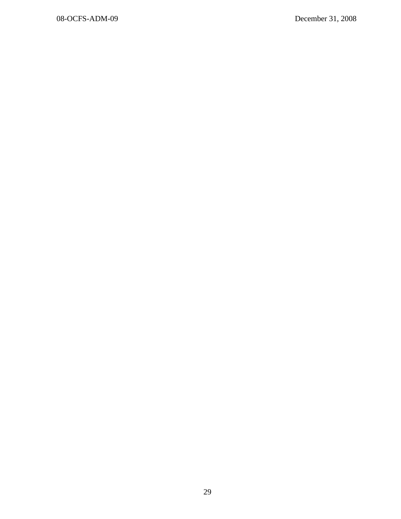08-OCFS-ADM-09 December 31, 2008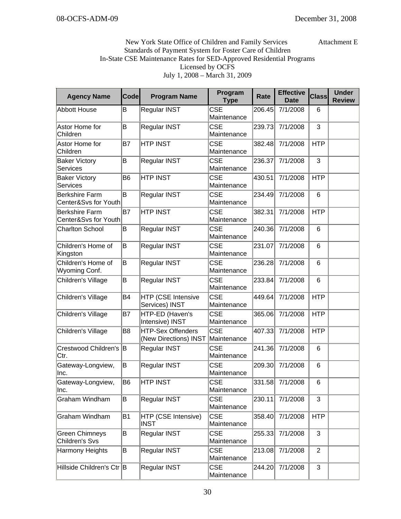#### New York State Office of Children and Family Services Attachment E Standards of Payment System for Foster Care of Children In-State CSE Maintenance Rates for SED-Approved Residential Programs Licensed by OCFS July 1, 2008 – March 31, 2009

| <b>Agency Name</b>                            | <b>Code</b>    | <b>Program Name</b>                               | Program<br><b>Type</b>    | Rate   | <b>Effective</b><br><b>Date</b> | <b>Class</b>   | <b>Under</b><br><b>Review</b> |
|-----------------------------------------------|----------------|---------------------------------------------------|---------------------------|--------|---------------------------------|----------------|-------------------------------|
| <b>Abbott House</b>                           | B              | Regular INST                                      | <b>CSE</b><br>Maintenance | 206.45 | 7/1/2008                        | 6              |                               |
| Astor Home for<br>Children                    | B              | Regular INST                                      | <b>CSE</b><br>Maintenance | 239.73 | 7/1/2008                        | 3              |                               |
| Astor Home for<br>Children                    | B7             | <b>HTP INST</b>                                   | <b>CSE</b><br>Maintenance | 382.48 | 7/1/2008                        | <b>HTP</b>     |                               |
| <b>Baker Victory</b><br>Services              | B              | Regular INST                                      | <b>CSE</b><br>Maintenance | 236.37 | 7/1/2008                        | 3              |                               |
| <b>Baker Victory</b><br>Services              | B <sub>6</sub> | <b>HTP INST</b>                                   | <b>CSE</b><br>Maintenance | 430.51 | 7/1/2008                        | <b>HTP</b>     |                               |
| <b>Berkshire Farm</b><br>Center&Svs for Youth | B              | Regular INST                                      | <b>CSE</b><br>Maintenance | 234.49 | 7/1/2008                        | 6              |                               |
| <b>Berkshire Farm</b><br>Center&Svs for Youth | <b>B7</b>      | <b>HTP INST</b>                                   | <b>CSE</b><br>Maintenance | 382.31 | 7/1/2008                        | <b>HTP</b>     |                               |
| <b>Charlton School</b>                        | B              | Regular INST                                      | <b>CSE</b><br>Maintenance | 240.36 | 7/1/2008                        | $6\phantom{1}$ |                               |
| Children's Home of<br>Kingston                | B              | Regular INST                                      | <b>CSE</b><br>Maintenance | 231.07 | 7/1/2008                        | 6              |                               |
| Children's Home of<br>Wyoming Conf.           | B              | Regular INST                                      | <b>CSE</b><br>Maintenance | 236.28 | 7/1/2008                        | 6              |                               |
| Children's Village                            | B              | Regular INST                                      | <b>CSE</b><br>Maintenance | 233.84 | 7/1/2008                        | $6\phantom{1}$ |                               |
| Children's Village                            | <b>B4</b>      | HTP (CSE Intensive<br>Services) INST              | <b>CSE</b><br>Maintenance | 449.64 | 7/1/2008                        | <b>HTP</b>     |                               |
| Children's Village                            | B7             | HTP-ED (Haven's<br>Intensive) INST                | <b>CSE</b><br>Maintenance | 365.06 | 7/1/2008                        | <b>HTP</b>     |                               |
| Children's Village                            | B <sub>8</sub> | <b>HTP-Sex Offenders</b><br>(New Directions) INST | <b>CSE</b><br>Maintenance | 407.33 | 7/1/2008                        | <b>HTP</b>     |                               |
| Crestwood Children's B<br>Ctr.                |                | <b>Regular INST</b>                               | <b>CSE</b><br>Maintenance | 241.36 | 7/1/2008                        | 6              |                               |
| Gateway-Longview,<br>Inc.                     | B              | Regular INST                                      | <b>CSE</b><br>Maintenance | 209.30 | 7/1/2008                        | 6              |                               |
| Gateway-Longview,<br>Inc.                     | B6             | HTP INST                                          | <b>CSE</b><br>Maintenance |        | 331.58 7/1/2008                 | 6              |                               |
| Graham Windham                                | B              | Regular INST                                      | <b>CSE</b><br>Maintenance | 230.11 | 7/1/2008                        | 3              |                               |
| Graham Windham                                | <b>B1</b>      | HTP (CSE Intensive)<br><b>INST</b>                | <b>CSE</b><br>Maintenance | 358.40 | 7/1/2008                        | <b>HTP</b>     |                               |
| <b>Green Chimneys</b><br>Children's Svs       | B              | Regular INST                                      | <b>CSE</b><br>Maintenance | 255.33 | 7/1/2008                        | 3              |                               |
| Harmony Heights                               | B              | Regular INST                                      | <b>CSE</b><br>Maintenance | 213.08 | 7/1/2008                        | 2              |                               |
| Hillside Children's Ctr B                     |                | Regular INST                                      | <b>CSE</b><br>Maintenance | 244.20 | 7/1/2008                        | 3              |                               |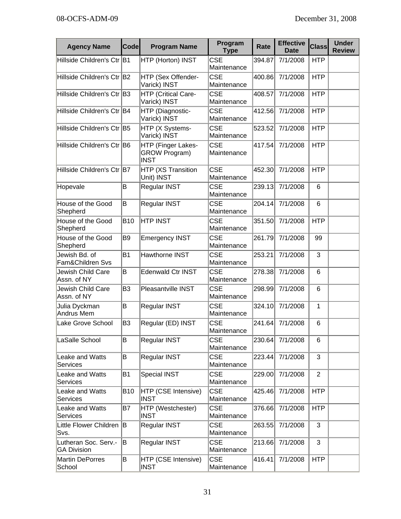| <b>Agency Name</b>                         | <b>Code</b>    | <b>Program Name</b>                                | Program<br><b>Type</b>    | Rate   | <b>Effective</b><br><b>Date</b> | <b>Class</b>   | <b>Under</b><br><b>Review</b> |
|--------------------------------------------|----------------|----------------------------------------------------|---------------------------|--------|---------------------------------|----------------|-------------------------------|
| Hillside Children's Ctr B1                 |                | HTP (Horton) INST                                  | <b>CSE</b><br>Maintenance | 394.87 | 7/1/2008                        | <b>HTP</b>     |                               |
| Hillside Children's Ctr B2                 |                | HTP (Sex Offender-<br>Varick) INST                 | <b>CSE</b><br>Maintenance | 400.86 | 7/1/2008                        | <b>HTP</b>     |                               |
| Hillside Children's Ctr B3                 |                | HTP (Critical Care-<br>Varick) INST                | <b>CSE</b><br>Maintenance | 408.57 | 7/1/2008                        | <b>HTP</b>     |                               |
| Hillside Children's Ctr  B4                |                | HTP (Diagnostic-<br>Varick) INST                   | <b>CSE</b><br>Maintenance | 412.56 | 7/1/2008                        | <b>HTP</b>     |                               |
| Hillside Children's Ctr B5                 |                | HTP (X Systems-<br>Varick) INST                    | <b>CSE</b><br>Maintenance | 523.52 | 7/1/2008                        | <b>HTP</b>     |                               |
| Hillside Children's Ctr B6                 |                | HTP (Finger Lakes-<br>GROW Program)<br><b>INST</b> | <b>CSE</b><br>Maintenance | 417.54 | 7/1/2008                        | <b>HTP</b>     |                               |
| Hillside Children's Ctr B7                 |                | HTP (XS Transition<br>Unit) INST                   | <b>CSE</b><br>Maintenance | 452.30 | 7/1/2008                        | <b>HTP</b>     |                               |
| Hopevale                                   | B              | Regular INST                                       | <b>CSE</b><br>Maintenance | 239.13 | 7/1/2008                        | 6              |                               |
| House of the Good<br>Shepherd              | B              | Regular INST                                       | <b>CSE</b><br>Maintenance | 204.14 | 7/1/2008                        | 6              |                               |
| House of the Good<br>Shepherd              | <b>B10</b>     | <b>HTP INST</b>                                    | <b>CSE</b><br>Maintenance | 351.50 | 7/1/2008                        | <b>HTP</b>     |                               |
| House of the Good<br>Shepherd              | B <sub>9</sub> | <b>Emergency INST</b>                              | <b>CSE</b><br>Maintenance | 261.79 | 7/1/2008                        | 99             |                               |
| Jewish Bd. of<br>Fam&Children Svs          | <b>B1</b>      | Hawthorne INST                                     | <b>CSE</b><br>Maintenance | 253.21 | 7/1/2008                        | 3              |                               |
| Jewish Child Care<br>Assn. of NY           | B              | Edenwald Ctr INST                                  | <b>CSE</b><br>Maintenance | 278.38 | 7/1/2008                        | 6              |                               |
| Jewish Child Care<br>Assn. of NY           | B <sub>3</sub> | Pleasantville INST                                 | <b>CSE</b><br>Maintenance | 298.99 | 7/1/2008                        | 6              |                               |
| Julia Dyckman<br>Andrus Mem                | B              | Regular INST                                       | <b>CSE</b><br>Maintenance | 324.10 | 7/1/2008                        | 1              |                               |
| Lake Grove School                          | B <sub>3</sub> | Regular (ED) INST                                  | <b>CSE</b><br>Maintenance | 241.64 | 7/1/2008                        | $6\phantom{1}$ |                               |
| LaSalle School                             | B              | Regular INST                                       | <b>CSE</b><br>Maintenance | 230.64 | 7/1/2008                        | 6              |                               |
| Leake and Watts<br><b>Services</b>         | B              | Regular INST                                       | <b>CSE</b><br>Maintenance | 223.44 | 7/1/2008                        | 3              |                               |
| Leake and Watts<br><b>Services</b>         | <b>B1</b>      | Special INST                                       | <b>CSE</b><br>Maintenance | 229.00 | 7/1/2008                        | $\overline{2}$ |                               |
| Leake and Watts<br>Services                | <b>B10</b>     | HTP (CSE Intensive)<br><b>INST</b>                 | <b>CSE</b><br>Maintenance | 425.46 | 7/1/2008                        | <b>HTP</b>     |                               |
| Leake and Watts<br><b>Services</b>         | B7             | HTP (Westchester)<br><b>INST</b>                   | <b>CSE</b><br>Maintenance | 376.66 | 7/1/2008                        | <b>HTP</b>     |                               |
| Little Flower Children B<br>Svs.           |                | Regular INST                                       | <b>CSE</b><br>Maintenance | 263.55 | 7/1/2008                        | 3              |                               |
| Lutheran Soc. Serv.-<br><b>GA Division</b> | B.             | Regular INST                                       | <b>CSE</b><br>Maintenance | 213.66 | 7/1/2008                        | 3              |                               |
| <b>Martin DePorres</b><br>School           | B              | HTP (CSE Intensive)<br><b>INST</b>                 | <b>CSE</b><br>Maintenance | 416.41 | 7/1/2008                        | <b>HTP</b>     |                               |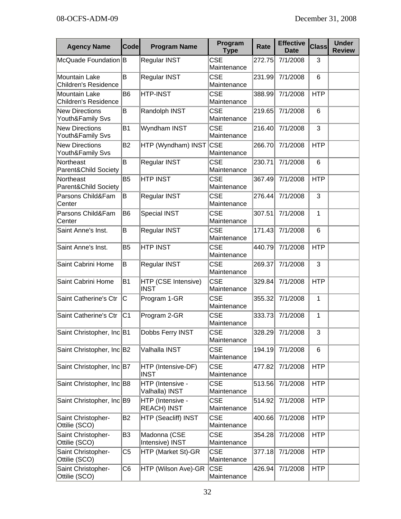| <b>Agency Name</b>                                  | <b>Code</b>    | <b>Program Name</b>                    | Program<br><b>Type</b>    | Rate   | <b>Effective</b><br><b>Date</b> | <b>Class</b> | <b>Under</b><br><b>Review</b> |
|-----------------------------------------------------|----------------|----------------------------------------|---------------------------|--------|---------------------------------|--------------|-------------------------------|
| McQuade Foundation B                                |                | Regular INST                           | <b>CSE</b><br>Maintenance | 272.75 | 7/1/2008                        | 3            |                               |
| <b>Mountain Lake</b><br><b>Children's Residence</b> | B              | Regular INST                           | <b>CSE</b><br>Maintenance | 231.99 | 7/1/2008                        | 6            |                               |
| Mountain Lake<br><b>Children's Residence</b>        | B <sub>6</sub> | <b>HTP-INST</b>                        | <b>CSE</b><br>Maintenance | 388.99 | 7/1/2008                        | <b>HTP</b>   |                               |
| <b>New Directions</b><br>Youth&Family Svs           | B              | Randolph INST                          | <b>CSE</b><br>Maintenance | 219.65 | 7/1/2008                        | 6            |                               |
| <b>New Directions</b><br>Youth&Family Svs           | <b>B1</b>      | Wyndham INST                           | <b>CSE</b><br>Maintenance | 216.40 | 7/1/2008                        | 3            |                               |
| <b>New Directions</b><br>Youth&Family Svs           | <b>B2</b>      | HTP (Wyndham) INST                     | <b>CSE</b><br>Maintenance | 266.70 | 7/1/2008                        | <b>HTP</b>   |                               |
| Northeast<br>Parent&Child Society                   | B              | Regular INST                           | <b>CSE</b><br>Maintenance | 230.71 | 7/1/2008                        | 6            |                               |
| Northeast<br>Parent&Child Society                   | B <sub>5</sub> | <b>HTP INST</b>                        | <b>CSE</b><br>Maintenance | 367.49 | 7/1/2008                        | <b>HTP</b>   |                               |
| Parsons Child&Fam<br>Center                         | B              | Regular INST                           | <b>CSE</b><br>Maintenance | 276.44 | 7/1/2008                        | 3            |                               |
| Parsons Child&Fam<br>Center                         | B <sub>6</sub> | Special INST                           | <b>CSE</b><br>Maintenance | 307.51 | 7/1/2008                        | $\mathbf{1}$ |                               |
| Saint Anne's Inst.                                  | B              | Regular INST                           | <b>CSE</b><br>Maintenance | 171.43 | 7/1/2008                        | 6            |                               |
| Saint Anne's Inst.                                  | B <sub>5</sub> | <b>HTP INST</b>                        | <b>CSE</b><br>Maintenance | 440.79 | 7/1/2008                        | <b>HTP</b>   |                               |
| Saint Cabrini Home                                  | B              | Regular INST                           | <b>CSE</b><br>Maintenance | 269.37 | 7/1/2008                        | 3            |                               |
| Saint Cabrini Home                                  | <b>B1</b>      | HTP (CSE Intensive)<br><b>INST</b>     | <b>CSE</b><br>Maintenance | 329.84 | 7/1/2008                        | <b>HTP</b>   |                               |
| Saint Catherine's Ctr                               | С              | Program 1-GR                           | <b>CSE</b><br>Maintenance | 355.32 | 7/1/2008                        | 1            |                               |
| Saint Catherine's Ctr                               | C <sub>1</sub> | Program 2-GR                           | <b>CSE</b><br>Maintenance | 333.73 | 7/1/2008                        | $\mathbf{1}$ |                               |
| Saint Christopher, Inc B1                           |                | Dobbs Ferry INST                       | <b>CSE</b><br>Maintenance |        | 328.29 7/1/2008                 | 3            |                               |
| Saint Christopher, Inc B2                           |                | Valhalla INST                          | <b>CSE</b><br>Maintenance | 194.19 | 7/1/2008                        | 6            |                               |
| Saint Christopher, Inc B7                           |                | HTP (Intensive-DF)<br><b>INST</b>      | <b>CSE</b><br>Maintenance | 477.82 | 7/1/2008                        | <b>HTP</b>   |                               |
| Saint Christopher, Inc B8                           |                | HTP (Intensive -<br>Valhalla) INST     | <b>CSE</b><br>Maintenance | 513.56 | 7/1/2008                        | <b>HTP</b>   |                               |
| Saint Christopher, Inc B9                           |                | HTP (Intensive -<br><b>REACH) INST</b> | <b>CSE</b><br>Maintenance | 514.92 | 7/1/2008                        | <b>HTP</b>   |                               |
| Saint Christopher-<br>Ottilie (SCO)                 | <b>B2</b>      | HTP (Seacliff) INST                    | <b>CSE</b><br>Maintenance | 400.66 | 7/1/2008                        | <b>HTP</b>   |                               |
| Saint Christopher-<br>Ottilie (SCO)                 | B <sub>3</sub> | Madonna (CSE<br>Intensive) INST        | <b>CSE</b><br>Maintenance | 354.28 | 7/1/2008                        | <b>HTP</b>   |                               |
| Saint Christopher-<br>Ottilie (SCO)                 | C <sub>5</sub> | HTP (Market St)-GR                     | <b>CSE</b><br>Maintenance | 377.18 | 7/1/2008                        | <b>HTP</b>   |                               |
| Saint Christopher-<br>Ottilie (SCO)                 | C <sub>6</sub> | HTP (Wilson Ave)-GR                    | <b>CSE</b><br>Maintenance | 426.94 | 7/1/2008                        | <b>HTP</b>   |                               |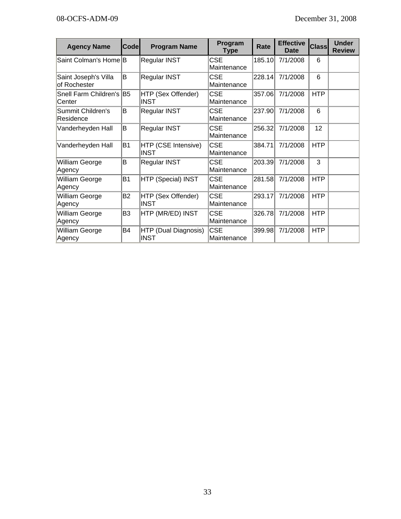| <b>Agency Name</b>                   | <b>Code</b>    | <b>Program Name</b>                 | Program<br><b>Type</b>    | Rate   | <b>Effective</b><br><b>Date</b> | <b>Class</b> | <b>Under</b><br><b>Review</b> |
|--------------------------------------|----------------|-------------------------------------|---------------------------|--------|---------------------------------|--------------|-------------------------------|
| Saint Colman's Home <sup>B</sup>     |                | Regular INST                        | <b>CSE</b><br>Maintenance | 185.10 | 7/1/2008                        | 6            |                               |
| Saint Joseph's Villa<br>of Rochester | B              | Regular INST                        | <b>CSE</b><br>Maintenance | 228.14 | 7/1/2008                        | 6            |                               |
| Snell Farm Children's B5<br>Center   |                | HTP (Sex Offender)<br><b>INST</b>   | <b>CSE</b><br>Maintenance | 357.06 | 7/1/2008                        | <b>HTP</b>   |                               |
| Summit Children's<br>Residence       | B              | Regular INST                        | <b>CSE</b><br>Maintenance | 237.90 | 7/1/2008                        | 6            |                               |
| Vanderheyden Hall                    | B              | Regular INST                        | CSE<br>Maintenance        | 256.32 | 7/1/2008                        | 12           |                               |
| Vanderheyden Hall                    | <b>B1</b>      | HTP (CSE Intensive)<br><b>INST</b>  | <b>CSE</b><br>Maintenance | 384.71 | 7/1/2008                        | <b>HTP</b>   |                               |
| William George<br>Agency             | B              | Regular INST                        | <b>CSE</b><br>Maintenance | 203.39 | 7/1/2008                        | 3            |                               |
| William George<br>Agency             | <b>B1</b>      | HTP (Special) INST                  | <b>CSE</b><br>Maintenance | 281.58 | 7/1/2008                        | <b>HTP</b>   |                               |
| William George<br>Agency             | <b>B2</b>      | HTP (Sex Offender)<br><b>INST</b>   | <b>CSE</b><br>Maintenance | 293.17 | 7/1/2008                        | <b>HTP</b>   |                               |
| William George<br>Agency             | B <sub>3</sub> | HTP (MR/ED) INST                    | <b>CSE</b><br>Maintenance | 326.78 | 7/1/2008                        | <b>HTP</b>   |                               |
| William George<br>Agency             | B4             | HTP (Dual Diagnosis)<br><b>INST</b> | <b>CSE</b><br>Maintenance | 399.98 | 7/1/2008                        | <b>HTP</b>   |                               |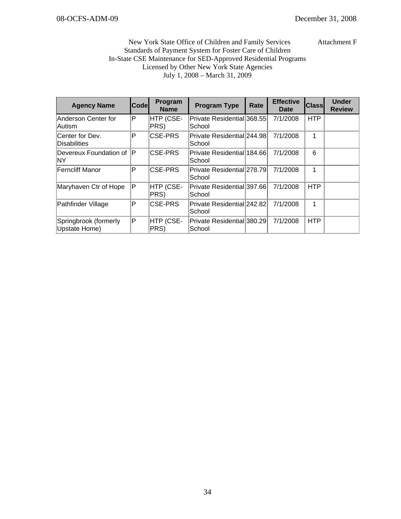#### New York State Office of Children and Family Services Attachment F Standards of Payment System for Foster Care of Children In-State CSE Maintenance for SED-Approved Residential Programs Licensed by Other New York State Agencies July 1, 2008 – March 31, 2009

**Agency Name Code Program Program Type Rate Effective Date Class Under Review**  Anderson Center for Autism  $P$  HTP (CSE-PRS) Private Residential **School**  $7/1/2008$  HTP Center for Dev. **Disabilities**  $\mathsf{P}$  CSE-PRS Private Residential 244.98 **School**  $7/1/2008$  | 1 Devereux Foundation of P NY  $|CSE-PRS|$  Private Residential 184.66 **School**  $7/1/2008$  6 Ferncliff Manor P CSE-PRS Private Residential 278.79 School  $7/1/2008$  1 Maryhaven Ctr of Hope  $\|P\|$  HTP (CSE-PRS) Private Residential 397.66 School 7/1/2008 HTP Pathfinder Village  $\vert P \vert$  CSE-PRS Private Residential 242.82 School  $7/1/2008$  | 1 Springbrook (formerly Upstate Home)  $P$  HTP (CSE-PRS) Private Residential School  $7/1/2008$  HTP